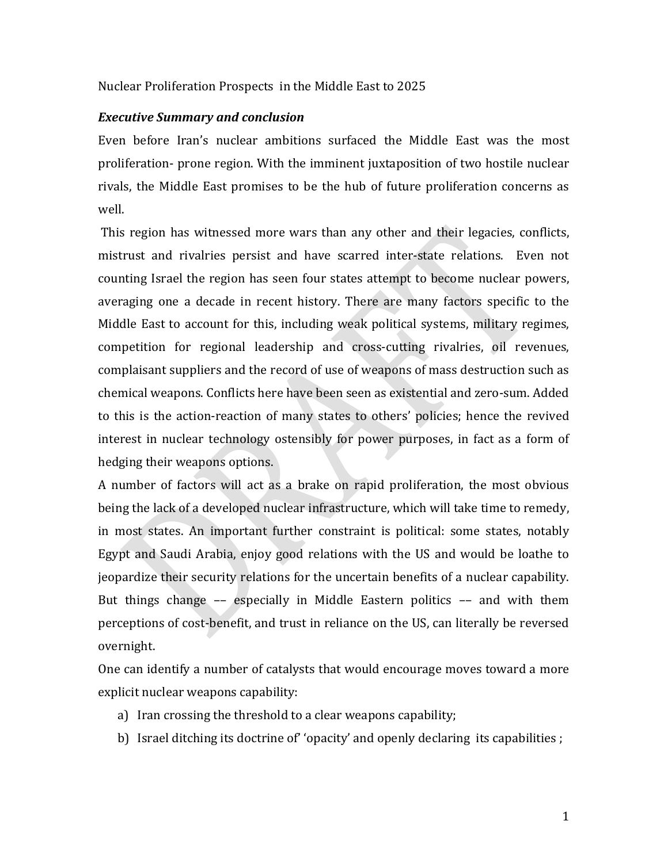### Nuclear Proliferation Prospects in the Middle East to 2025

### *Executive Summary and conclusion*

Even before Iran's nuclear ambitions surfaced the Middle East was the most proliferation‐ prone region. With the imminent juxtaposition of two hostile nuclear rivals, the Middle East promises to be the hub of future proliferation concerns as well.

This region has witnessed more wars than any other and their legacies, conflicts, mistrust and rivalries persist and have scarred inter‐state relations. Even not counting Israel the region has seen four states attempt to become nuclear powers, averaging one a decade in recent history. There are many factors specific to the Middle East to account for this, including weak political systems, military regimes, competition for regional leadership and cross-cutting rivalries, oil revenues, complaisant suppliers and the record of use of weapons of mass destruction such as chemical weapons. Conflicts here have been seen as existential and zero‐sum. Added to this is the action-reaction of many states to others' policies; hence the revived interest in nuclear technology ostensibly for power purposes, in fact as a form of hedging their weapons options.

A number of factors will act as a brake on rapid proliferation, the most obvious being the lack of a developed nuclear infrastructure, which will take time to remedy, in most states. An important further constraint is political: some states, notably Egypt and Saudi Arabia, enjoy good relations with the US and would be loathe to jeopardize their security relations for the uncertain benefits of a nuclear capability. But things change –– especially in Middle Eastern politics –– and with them perceptions of cost-benefit, and trust in reliance on the US, can literally be reversed overnight.

One can identify a number of catalysts that would encourage moves toward a more explicit nuclear weapons capability:

- a) Iran crossing the threshold to a clear weapons capability;
- b) Israel ditching its doctrine of' 'opacity' and openly declaring its capabilities ;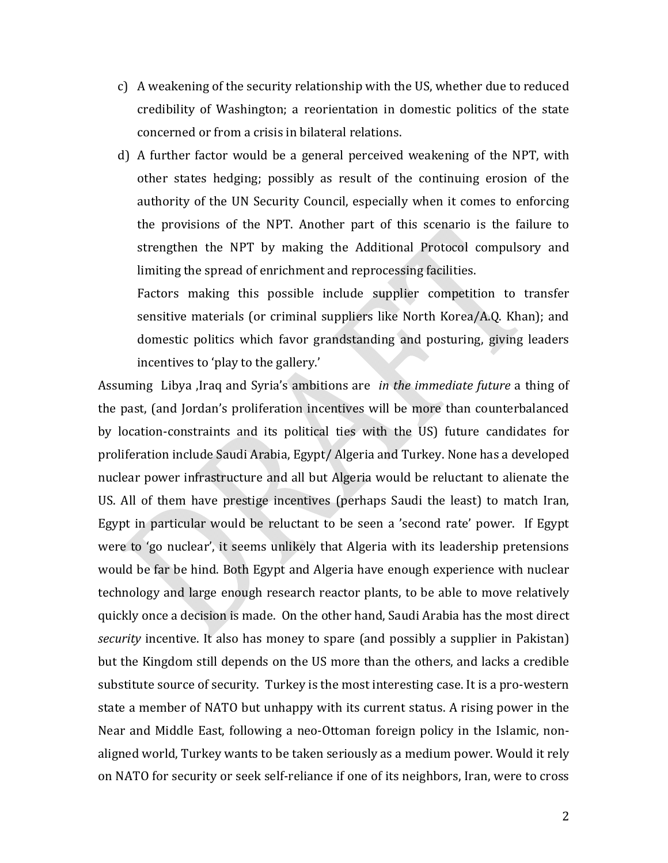- c) A weakening of the security relationship with the US, whether due to reduced credibility of Washington; a reorientation in domestic politics of the state concerned or from a crisis in bilateral relations.
- d) A further factor would be a general perceived weakening of the NPT, with other states hedging; possibly as result of the continuing erosion of the authority of the UN Security Council, especially when it comes to enforcing the provisions of the NPT. Another part of this scenario is the failure to strengthen the NPT by making the Additional Protocol compulsory and limiting the spread of enrichment and reprocessing facilities.

Factors making this possible include supplier competition to transfer sensitive materials (or criminal suppliers like North Korea/A.Q. Khan); and domestic politics which favor grandstanding and posturing, giving leaders incentives to 'play to the gallery.'

Assuming Libya ,Iraq and Syria's ambitions are *in the immediate future* a thing of the past, (and Jordan's proliferation incentives will be more than counterbalanced by location‐constraints and its political ties with the US) future candidates for proliferation include Saudi Arabia, Egypt/ Algeria and Turkey. None has a developed nuclear power infrastructure and all but Algeria would be reluctant to alienate the US. All of them have prestige incentives (perhaps Saudi the least) to match Iran, Egypt in particular would be reluctant to be seen a 'second rate' power. If Egypt were to 'go nuclear', it seems unlikely that Algeria with its leadership pretensions would be far be hind. Both Egypt and Algeria have enough experience with nuclear technology and large enough research reactor plants, to be able to move relatively quickly once a decision is made. On the other hand, Saudi Arabia has the most direct *security* incentive. It also has money to spare (and possibly a supplier in Pakistan) but the Kingdom still depends on the US more than the others, and lacks a credible substitute source of security. Turkey is the most interesting case. It is a pro‐western state a member of NATO but unhappy with its current status. A rising power in the Near and Middle East, following a neo‐Ottoman foreign policy in the Islamic, non‐ aligned world, Turkey wants to be taken seriously as a medium power. Would it rely on NATO for security or seek self‐reliance if one of its neighbors, Iran, were to cross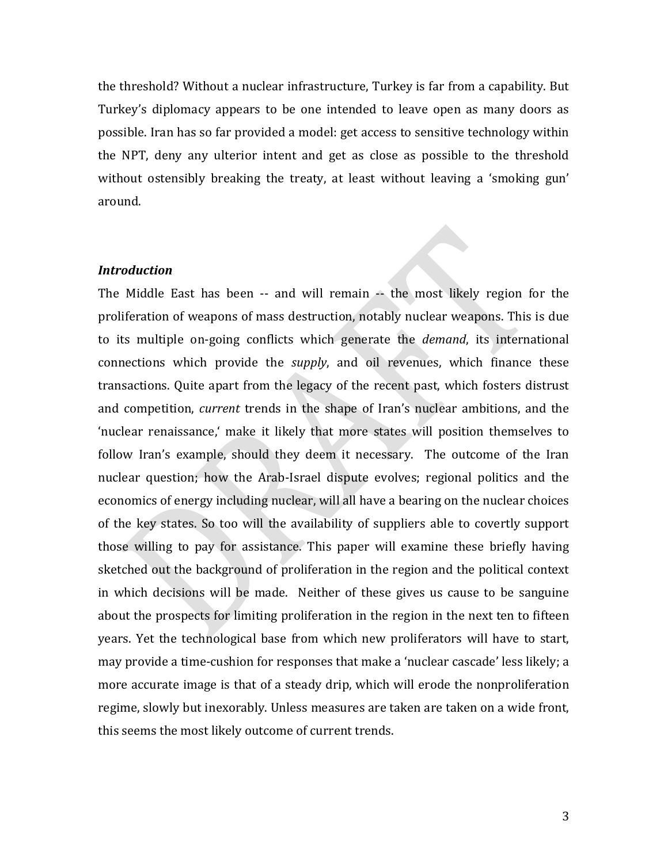the threshold? Without a nuclear infrastructure, Turkey is far from a capability. But Turkey's diplomacy appears to be one intended to leave open as many doors as possible. Iran has so far provided a model: get access to sensitive technology within the NPT, deny any ulterior intent and get as close as possible to the threshold without ostensibly breaking the treaty, at least without leaving a 'smoking gun' around.

#### *Introduction*

The Middle East has been -- and will remain -- the most likely region for the proliferation of weapons of mass destruction, notably nuclear weapons. This is due to its multiple on‐going conflicts which generate the *demand*, its international connections which provide the *supply*, and oil revenues, which finance these transactions. Quite apart from the legacy of the recent past, which fosters distrust and competition, *current* trends in the shape of Iran's nuclear ambitions, and the 'nuclear renaissance,' make it likely that more states will position themselves to follow Iran's example, should they deem it necessary. The outcome of the Iran nuclear question; how the Arab‐Israel dispute evolves; regional politics and the economics of energy including nuclear, will all have a bearing on the nuclear choices of the key states. So too will the availability of suppliers able to covertly support those willing to pay for assistance. This paper will examine these briefly having sketched out the background of proliferation in the region and the political context in which decisions will be made. Neither of these gives us cause to be sanguine about the prospects for limiting proliferation in the region in the next ten to fifteen years. Yet the technological base from which new proliferators will have to start, may provide a time‐cushion for responses that make a 'nuclear cascade' less likely; a more accurate image is that of a steady drip, which will erode the nonproliferation regime, slowly but inexorably. Unless measures are taken are taken on a wide front, this seems the most likely outcome of current trends.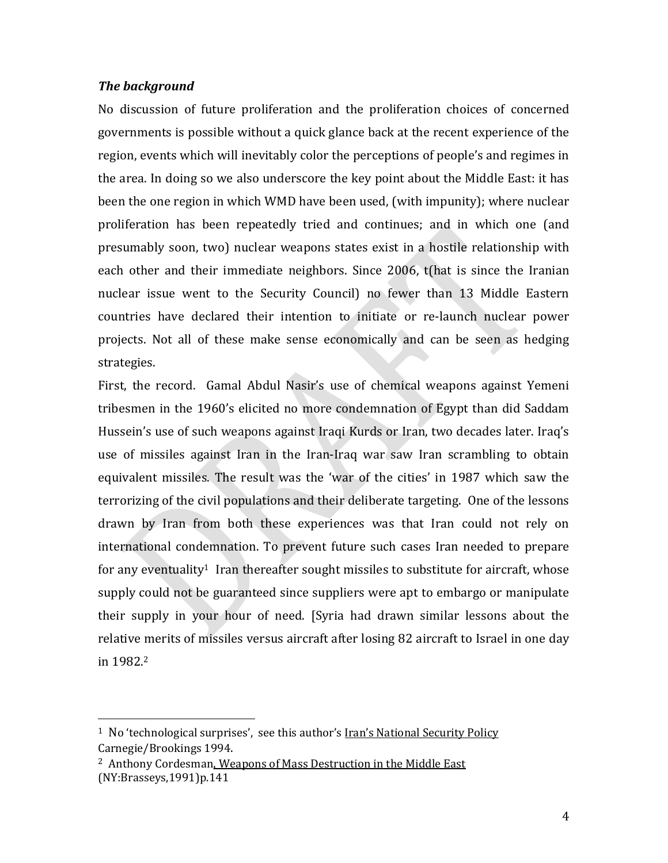### *The background*

No discussion of future proliferation and the proliferation choices of concerned governments is possible without a quick glance back at the recent experience of the region, events which will inevitably color the perceptions of people's and regimes in the area. In doing so we also underscore the key point about the Middle East: it has been the one region in which WMD have been used, (with impunity); where nuclear proliferation has been repeatedly tried and continues; and in which one (and presumably soon, two) nuclear weapons states exist in a hostile relationship with each other and their immediate neighbors. Since 2006, t(hat is since the Iranian nuclear issue went to the Security Council) no fewer than 13 Middle Eastern countries have declared their intention to initiate or re‐launch nuclear power projects. Not all of these make sense economically and can be seen as hedging strategies.

First, the record. Gamal Abdul Nasir's use of chemical weapons against Yemeni tribesmen in the 1960's elicited no more condemnation of Egypt than did Saddam Hussein's use of such weapons against Iraqi Kurds or Iran, two decades later. Iraq's use of missiles against Iran in the Iran‐Iraq war saw Iran scrambling to obtain equivalent missiles. The result was the 'war of the cities' in 1987 which saw the terrorizing of the civil populations and their deliberate targeting. One of the lessons drawn by Iran from both these experiences was that Iran could not rely on international condemnation. To prevent future such cases Iran needed to prepare for any eventuality<sup>1</sup> Iran thereafter sought missiles to substitute for aircraft, whose supply could not be guaranteed since suppliers were apt to embargo or manipulate their supply in your hour of need. [Syria had drawn similar lessons about the relative merits of missiles versus aircraft after losing 82 aircraft to Israel in one day in 1982.2

<sup>&</sup>lt;sup>1</sup> No 'technological surprises', see this author's Iran's National Security Policy Carnegie/Brookings 1994.

<sup>2</sup> Anthony Cordesman, Weapons of Mass Destruction in the Middle East (NY:Brasseys,1991)p.141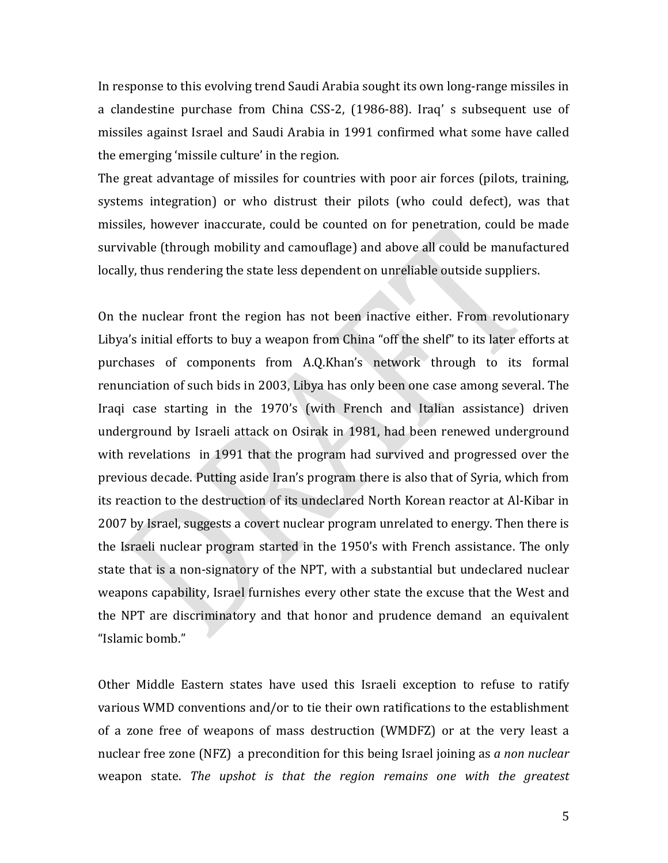In response to this evolving trend Saudi Arabia sought its own long-range missiles in a clandestine purchase from China CSS‐2, (1986‐88). Iraq' s subsequent use of missiles against Israel and Saudi Arabia in 1991 confirmed what some have called the emerging 'missile culture' in the region.

The great advantage of missiles for countries with poor air forces (pilots, training, systems integration) or who distrust their pilots (who could defect), was that missiles, however inaccurate, could be counted on for penetration, could be made survivable (through mobility and camouflage) and above all could be manufactured locally, thus rendering the state less dependent on unreliable outside suppliers.

On the nuclear front the region has not been inactive either. From revolutionary Libya's initial efforts to buy a weapon from China "off the shelf" to its later efforts at purchases of components from A.Q.Khan's network through to its formal renunciation of such bids in 2003, Libya has only been one case among several. The Iraqi case starting in the 1970's (with French and Italian assistance) driven underground by Israeli attack on Osirak in 1981, had been renewed underground with revelations in 1991 that the program had survived and progressed over the previous decade. Putting aside Iran's program there is also that of Syria, which from its reaction to the destruction of its undeclared North Korean reactor at Al‐Kibar in 2007 by Israel, suggests a covert nuclear program unrelated to energy. Then there is the Israeli nuclear program started in the 1950's with French assistance. The only state that is a non-signatory of the NPT, with a substantial but undeclared nuclear weapons capability, Israel furnishes every other state the excuse that the West and the NPT are discriminatory and that honor and prudence demand an equivalent "Islamic bomb."

Other Middle Eastern states have used this Israeli exception to refuse to ratify various WMD conventions and/or to tie their own ratifications to the establishment of a zone free of weapons of mass destruction (WMDFZ) or at the very least a nuclear free zone (NFZ) a precondition for this being Israel joining as *a non nuclear* weapon state. *The upshot is that the region remains one with the greatest*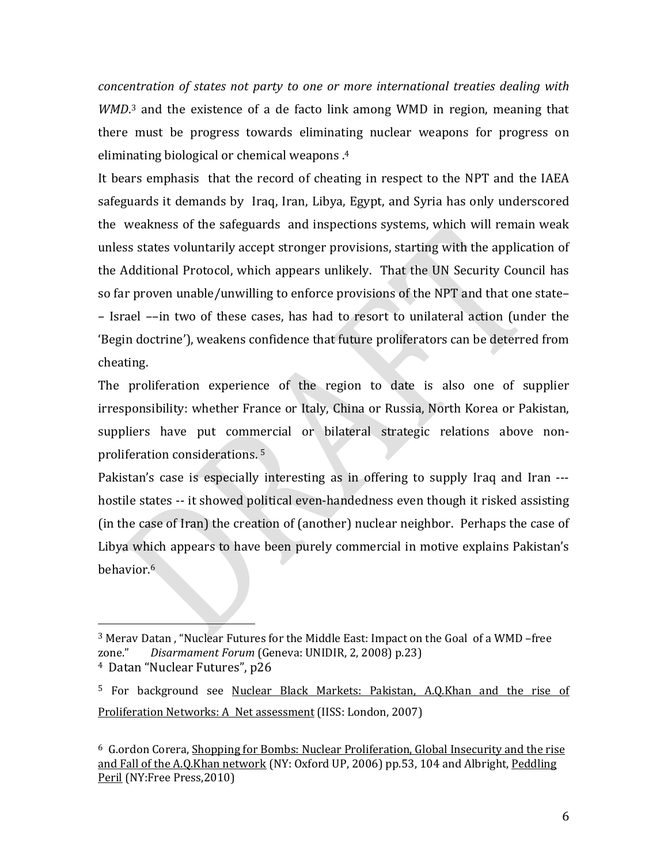*concentration of states not party to one or more international treaties dealing with* WMD.<sup>3</sup> and the existence of a de facto link among WMD in region, meaning that there must be progress towards eliminating nuclear weapons for progress on eliminating biological or chemical weapons .4

It bears emphasis that the record of cheating in respect to the NPT and the IAEA safeguards it demands by Iraq, Iran, Libya, Egypt, and Syria has only underscored the weakness of the safeguards and inspections systems, which will remain weak unless states voluntarily accept stronger provisions, starting with the application of the Additional Protocol, which appears unlikely. That the UN Security Council has so far proven unable/unwilling to enforce provisions of the NPT and that one state– – Israel ––in two of these cases, has had to resort to unilateral action (under the 'Begin doctrine'), weakens confidence that future proliferators can be deterred from cheating.

The proliferation experience of the region to date is also one of supplier irresponsibility: whether France or Italy, China or Russia, North Korea or Pakistan, suppliers have put commercial or bilateral strategic relations above nonproliferation considerations. 5

Pakistan's case is especially interesting as in offering to supply Iraq and Iran --hostile states -- it showed political even-handedness even though it risked assisting (in the case of Iran) the creation of (another) nuclear neighbor. Perhaps the case of Libya which appears to have been purely commercial in motive explains Pakistan's behavior.6

 $\overline{\phantom{a}}$  and  $\overline{\phantom{a}}$  and  $\overline{\phantom{a}}$ 

<sup>3</sup> Merav Datan , "Nuclear Futures for the Middle East: Impact on the Goal of a WMD –free zone." *Disarmament Forum* (Geneva: UNIDIR, 2, 2008) p.23) 4 Datan "Nuclear Futures", p26

<sup>&</sup>lt;sup>5</sup> For background see Nuclear Black Markets: Pakistan, A.Q.Khan and the rise of Proliferation Networks: A Net assessment (IISS: London, 2007)

<sup>6</sup> G.ordon Corera, Shopping for Bombs: Nuclear Proliferation, Global Insecurity and the rise and Fall of the A.O.Khan network (NY: Oxford UP, 2006) pp.53, 104 and Albright, Peddling Peril (NY:Free Press, 2010)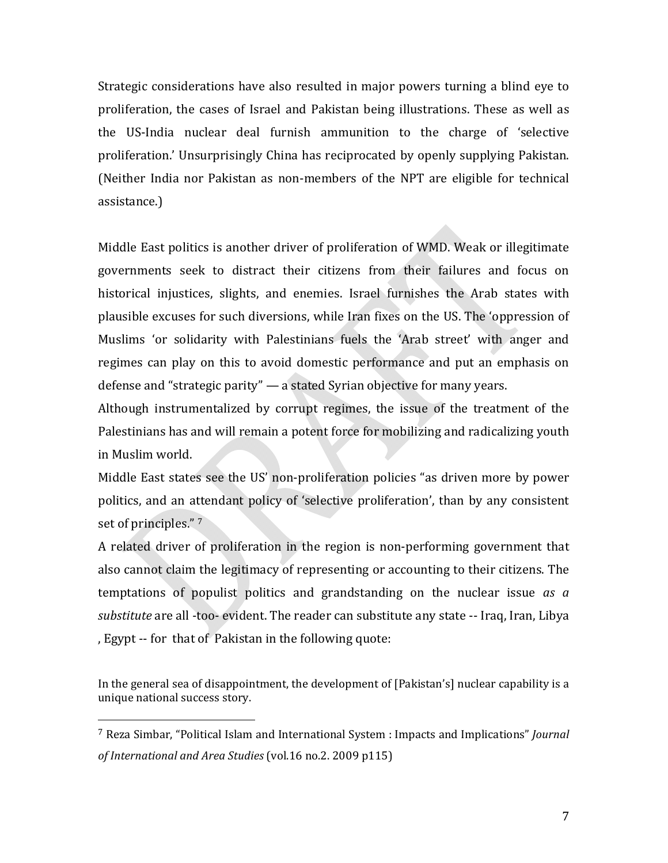Strategic considerations have also resulted in major powers turning a blind eye to proliferation, the cases of Israel and Pakistan being illustrations. These as well as the US‐India nuclear deal furnish ammunition to the charge of 'selective proliferation.' Unsurprisingly China has reciprocated by openly supplying Pakistan. (Neither India nor Pakistan as non‐members of the NPT are eligible for technical assistance.)

Middle East politics is another driver of proliferation of WMD. Weak or illegitimate governments seek to distract their citizens from their failures and focus on historical injustices, slights, and enemies. Israel furnishes the Arab states with plausible excuses for such diversions, while Iran fixes on the US. The 'oppression of Muslims 'or solidarity with Palestinians fuels the 'Arab street' with anger and regimes can play on this to avoid domestic performance and put an emphasis on defense and "strategic parity" — a stated Syrian objective for many years.

Although instrumentalized by corrupt regimes, the issue of the treatment of the Palestinians has and will remain a potent force for mobilizing and radicalizing youth in Muslim world.

Middle East states see the US' non‐proliferation policies "as driven more by power politics, and an attendant policy of 'selective proliferation', than by any consistent set of principles." 7

A related driver of proliferation in the region is non‐performing government that also cannot claim the legitimacy of representing or accounting to their citizens. The temptations of populist politics and grandstanding on the nuclear issue *as a substitute* are all ‐too‐ evident. The reader can substitute any state ‐‐ Iraq, Iran, Libya , Egypt ‐‐ for that of Pakistan in the following quote:

In the general sea of disappointment, the development of [Pakistan's] nuclear capability is a unique national success story.

<sup>7</sup> Reza Simbar, "Political Islam and International System : Impacts and Implications" *Journal of International and Area Studies* (vol.16 no.2. 2009 p115)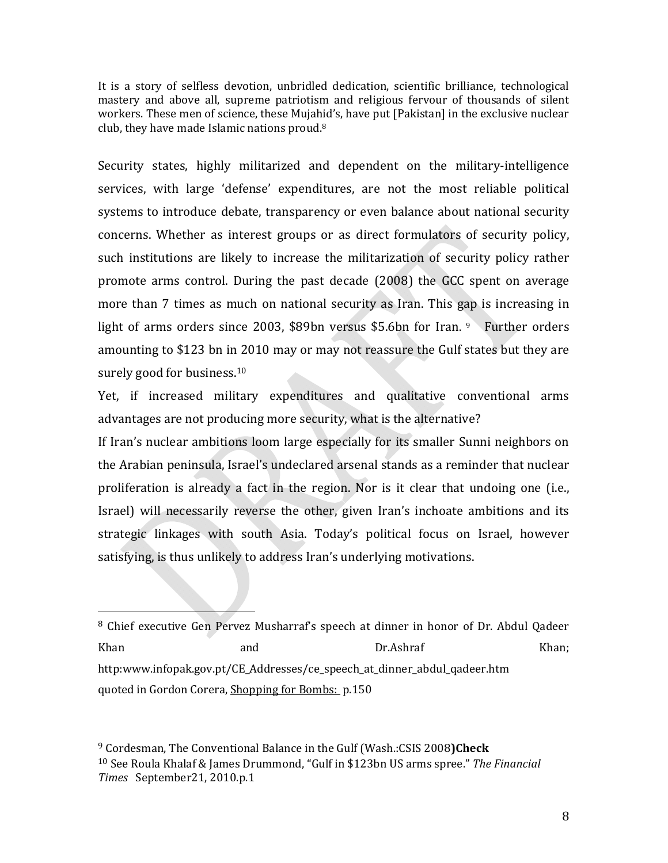It is a story of selfless devotion, unbridled dedication, scientific brilliance, technological mastery and above all, supreme patriotism and religious fervour of thousands of silent workers. These men of science, these Mujahid's, have put [Pakistan] in the exclusive nuclear club, they have made Islamic nations proud.8

Security states, highly militarized and dependent on the military-intelligence services, with large 'defense' expenditures, are not the most reliable political systems to introduce debate, transparency or even balance about national security concerns. Whether as interest groups or as direct formulators of security policy, such institutions are likely to increase the militarization of security policy rather promote arms control. During the past decade (2008) the GCC spent on average more than 7 times as much on national security as Iran. This gap is increasing in light of arms orders since 2003, \$89bn versus \$5.6bn for Iran. <sup>9</sup> Further orders amounting to \$123 bn in 2010 may or may not reassure the Gulf states but they are surely good for business.<sup>10</sup>

Yet, if increased military expenditures and qualitative conventional arms advantages are not producing more security, what is the alternative?

If Iran's nuclear ambitions loom large especially for its smaller Sunni neighbors on the Arabian peninsula, Israel's undeclared arsenal stands as a reminder that nuclear proliferation is already a fact in the region. Nor is it clear that undoing one (i.e., Israel) will necessarily reverse the other, given Iran's inchoate ambitions and its strategic linkages with south Asia. Today's political focus on Israel, however satisfying, is thus unlikely to address Iran's underlying motivations.

<sup>&</sup>lt;sup>8</sup> Chief executive Gen Pervez Musharraf's speech at dinner in honor of Dr. Abdul Qadeer Khan and and Dr.Ashraf Khan; http:www.infopak.gov.pt/CE\_Addresses/ce\_speech\_at\_dinner\_abdul\_qadeer.htm quoted in Gordon Corera, Shopping for Bombs: p.150

<sup>9</sup> Cordesman, The Conventional Balance in the Gulf (Wash.:CSIS 2008**)Check** <sup>10</sup> See Roula Khalaf & James Drummond, "Gulf in \$123bn US arms spree." *The Financial Times*  September21, 2010.p.1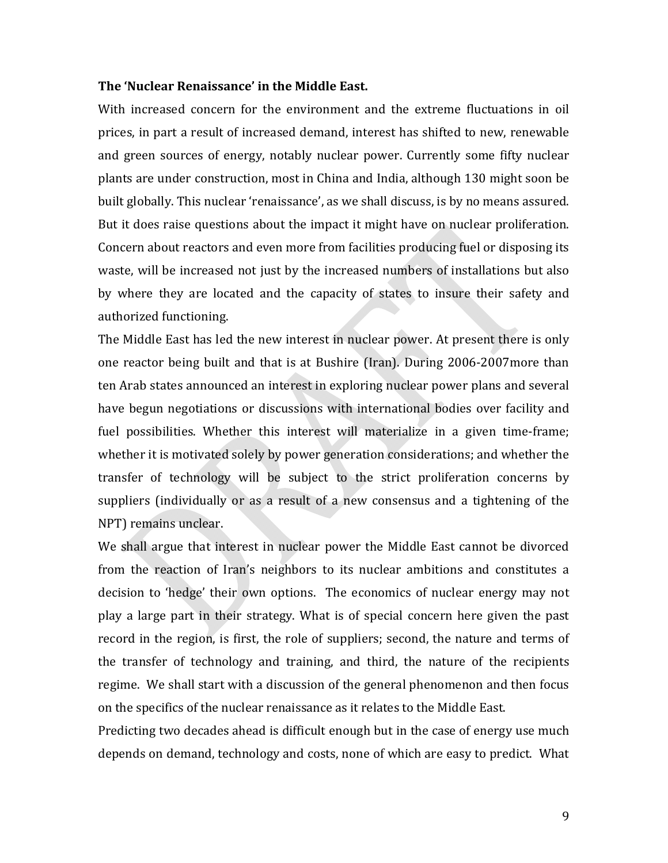### **The 'Nuclear Renaissance' in the Middle East.**

With increased concern for the environment and the extreme fluctuations in oil prices, in part a result of increased demand, interest has shifted to new, renewable and green sources of energy, notably nuclear power. Currently some fifty nuclear plants are under construction, most in China and India, although 130 might soon be built globally. This nuclear 'renaissance', as we shall discuss, is by no means assured. But it does raise questions about the impact it might have on nuclear proliferation. Concern about reactors and even more from facilities producing fuel or disposing its waste, will be increased not just by the increased numbers of installations but also by where they are located and the capacity of states to insure their safety and authorized functioning.

The Middle East has led the new interest in nuclear power. At present there is only one reactor being built and that is at Bushire (Iran). During 2006‐2007more than ten Arab states announced an interest in exploring nuclear power plans and several have begun negotiations or discussions with international bodies over facility and fuel possibilities. Whether this interest will materialize in a given time-frame; whether it is motivated solely by power generation considerations; and whether the transfer of technology will be subject to the strict proliferation concerns by suppliers (individually or as a result of a new consensus and a tightening of the NPT) remains unclear.

We shall argue that interest in nuclear power the Middle East cannot be divorced from the reaction of Iran's neighbors to its nuclear ambitions and constitutes a decision to 'hedge' their own options. The economics of nuclear energy may not play a large part in their strategy. What is of special concern here given the past record in the region, is first, the role of suppliers; second, the nature and terms of the transfer of technology and training, and third, the nature of the recipients regime. We shall start with a discussion of the general phenomenon and then focus on the specifics of the nuclear renaissance as it relates to the Middle East.

Predicting two decades ahead is difficult enough but in the case of energy use much depends on demand, technology and costs, none of which are easy to predict. What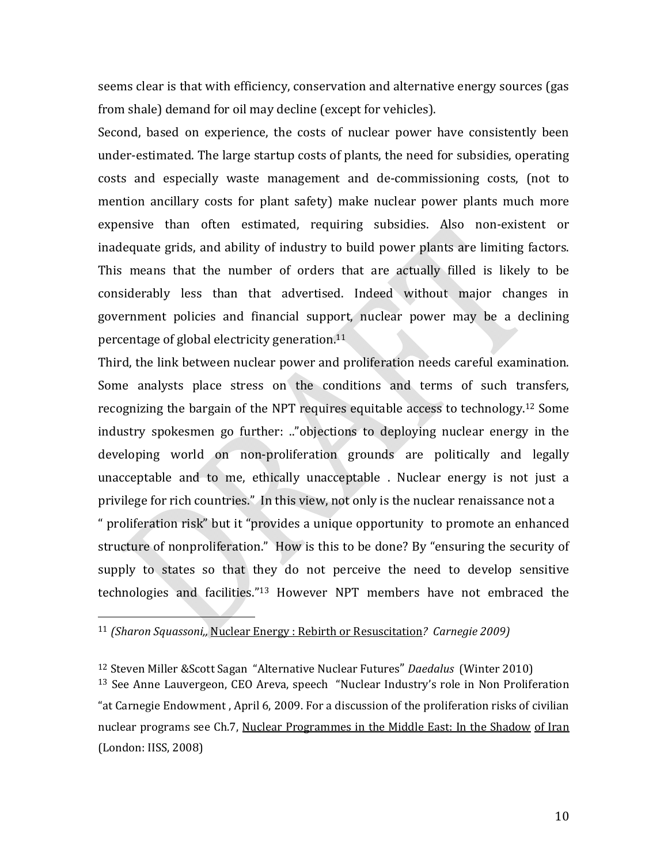seems clear is that with efficiency, conservation and alternative energy sources (gas from shale) demand for oil may decline (except for vehicles).

Second, based on experience, the costs of nuclear power have consistently been under‐estimated. The large startup costs of plants, the need for subsidies, operating costs and especially waste management and de‐commissioning costs, (not to mention ancillary costs for plant safety) make nuclear power plants much more expensive than often estimated, requiring subsidies. Also non-existent or inadequate grids, and ability of industry to build power plants are limiting factors. This means that the number of orders that are actually filled is likely to be considerably less than that advertised. Indeed without major changes in government policies and financial support, nuclear power may be a declining percentage of global electricity generation.11

Third, the link between nuclear power and proliferation needs careful examination. Some analysts place stress on the conditions and terms of such transfers, recognizing the bargain of the NPT requires equitable access to technology.12 Some industry spokesmen go further: .."objections to deploying nuclear energy in the developing world on non‐proliferation grounds are politically and legally unacceptable and to me, ethically unacceptable . Nuclear energy is not just a privilege for rich countries." In this view, not only is the nuclear renaissance not a

" proliferation risk" but it "provides a unique opportunity to promote an enhanced structure of nonproliferation." How is this to be done? By "ensuring the security of supply to states so that they do not perceive the need to develop sensitive technologies and facilities."13 However NPT members have not embraced the

<sup>13</sup> See Anne Lauvergeon, CEO Areva, speech "Nuclear Industry's role in Non Proliferation "at Carnegie Endowment , April 6, 2009. For a discussion of the proliferation risks of civilian nuclear programs see Ch.7, Nuclear Programmes in the Middle East: In the Shadow of Iran (London: IISS, 2008)

<sup>11</sup> *(Sharon Squassoni,,* Nuclear Energy : Rebirth or Resuscitation*? Carnegie 2009)*

<sup>12</sup> Steven Miller &Scott Sagan "Alternative Nuclear Futures" *Daedalus* (Winter 2010)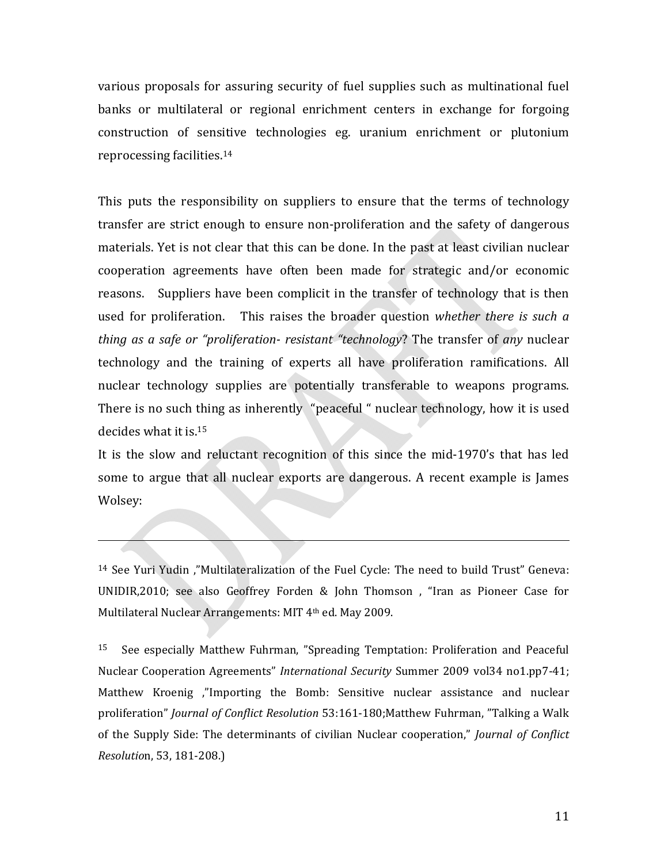various proposals for assuring security of fuel supplies such as multinational fuel banks or multilateral or regional enrichment centers in exchange for forgoing construction of sensitive technologies eg. uranium enrichment or plutonium reprocessing facilities.14

This puts the responsibility on suppliers to ensure that the terms of technology transfer are strict enough to ensure non‐proliferation and the safety of dangerous materials. Yet is not clear that this can be done. In the past at least civilian nuclear cooperation agreements have often been made for strategic and/or economic reasons. Suppliers have been complicit in the transfer of technology that is then used for proliferation. This raises the broader question *whether there is such a thing as a safe or "proliferation resistant "technology*? The transfer of *any* nuclear technology and the training of experts all have proliferation ramifications. All nuclear technology supplies are potentially transferable to weapons programs. There is no such thing as inherently "peaceful " nuclear technology, how it is used decides what it is.15

It is the slow and reluctant recognition of this since the mid-1970's that has led some to argue that all nuclear exports are dangerous. A recent example is James Wolsey:

<sup>14</sup> See Yuri Yudin ,"Multilateralization of the Fuel Cycle: The need to build Trust" Geneva: UNIDIR,2010; see also Geoffrey Forden & John Thomson , "Iran as Pioneer Case for Multilateral Nuclear Arrangements: MIT 4th ed. May 2009.

<sup>15</sup> See especially Matthew Fuhrman, "Spreading Temptation: Proliferation and Peaceful Nuclear Cooperation Agreements" *International Security* Summer 2009 vol34 no1.pp7‐41; Matthew Kroenig ,"Importing the Bomb: Sensitive nuclear assistance and nuclear proliferation" *Journal of Conflict Resolution* 53:161‐180;Matthew Fuhrman, "Talking a Walk of the Supply Side: The determinants of civilian Nuclear cooperation," *Journal of Conflict Resolutio*n, 53, 181‐208.)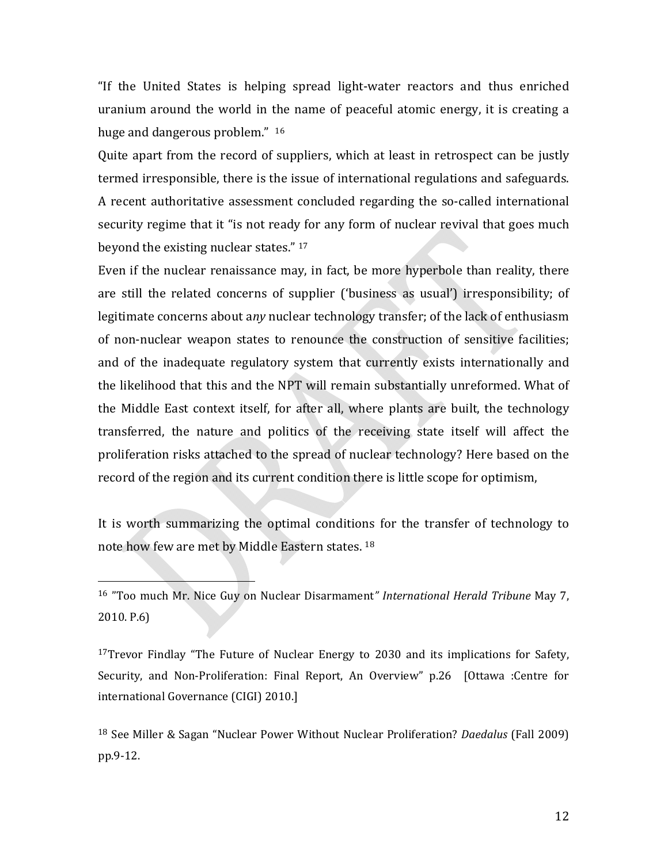"If the United States is helping spread light‐water reactors and thus enriched uranium around the world in the name of peaceful atomic energy, it is creating a huge and dangerous problem." 16

Quite apart from the record of suppliers, which at least in retrospect can be justly termed irresponsible, there is the issue of international regulations and safeguards. A recent authoritative assessment concluded regarding the so‐called international security regime that it "is not ready for any form of nuclear revival that goes much beyond the existing nuclear states." 17

Even if the nuclear renaissance may, in fact, be more hyperbole than reality, there are still the related concerns of supplier ('business as usual') irresponsibility; of legitimate concerns about a*ny* nuclear technology transfer; of the lack of enthusiasm of non-nuclear weapon states to renounce the construction of sensitive facilities; and of the inadequate regulatory system that currently exists internationally and the likelihood that this and the NPT will remain substantially unreformed. What of the Middle East context itself, for after all, where plants are built, the technology transferred, the nature and politics of the receiving state itself will affect the proliferation risks attached to the spread of nuclear technology? Here based on the record of the region and its current condition there is little scope for optimism,

It is worth summarizing the optimal conditions for the transfer of technology to note how few are met by Middle Eastern states. 18

 $\overline{\phantom{a}}$  and  $\overline{\phantom{a}}$  and  $\overline{\phantom{a}}$ 

 $17$ Trevor Findlay "The Future of Nuclear Energy to 2030 and its implications for Safety, Security, and Non-Proliferation: Final Report, An Overview" p.26 [Ottawa :Centre for international Governance (CIGI) 2010.]

<sup>18</sup> See Miller & Sagan "Nuclear Power Without Nuclear Proliferation? *Daedalus* (Fall 2009) pp.9‐12.

<sup>16</sup> "Too much Mr. Nice Guy on Nuclear Disarmament*" International Herald Tribune* May 7, 2010. P.6)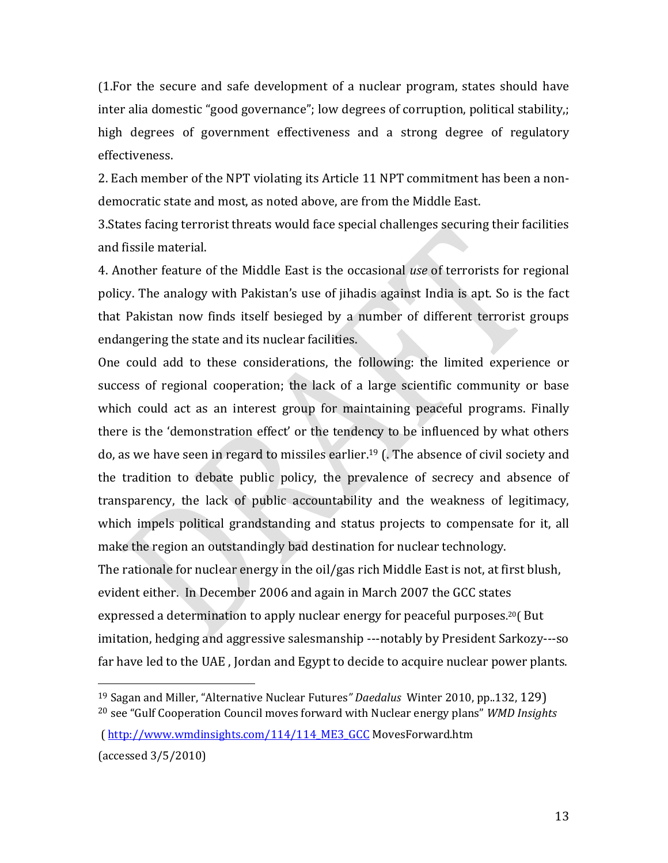(1.For the secure and safe development of a nuclear program, states should have inter alia domestic "good governance"; low degrees of corruption, political stability,; high degrees of government effectiveness and a strong degree of regulatory effectiveness.

2. Each member of the NPT violating its Article 11 NPT commitment has been a non‐ democratic state and most, as noted above, are from the Middle East.

3.States facing terrorist threats would face special challenges securing their facilities and fissile material.

4. Another feature of the Middle East is the occasional *use* of terrorists for regional policy. The analogy with Pakistan's use of jihadis against India is apt. So is the fact that Pakistan now finds itself besieged by a number of different terrorist groups endangering the state and its nuclear facilities.

One could add to these considerations, the following: the limited experience or success of regional cooperation; the lack of a large scientific community or base which could act as an interest group for maintaining peaceful programs. Finally there is the 'demonstration effect' or the tendency to be influenced by what others do, as we have seen in regard to missiles earlier.19 (. The absence of civil society and the tradition to debate public policy, the prevalence of secrecy and absence of transparency, the lack of public accountability and the weakness of legitimacy, which impels political grandstanding and status projects to compensate for it, all make the region an outstandingly bad destination for nuclear technology.

The rationale for nuclear energy in the oil/gas rich Middle East is not, at first blush, evident either. In December 2006 and again in March 2007 the GCC states expressed a determination to apply nuclear energy for peaceful purposes. 20( But imitation, hedging and aggressive salesmanship ‐‐‐notably by President Sarkozy‐‐‐so far have led to the UAE , Jordan and Egypt to decide to acquire nuclear power plants.

 ( http://www.wmdinsights.com/114/114\_ME3\_GCC MovesForward.htm (accessed 3/5/2010)

<sup>19</sup> Sagan and Miller, "Alternative Nuclear Futures*" Daedalus* Winter 2010, pp..132, 129) <sup>20</sup> see "Gulf Cooperation Council moves forward with Nuclear energy plans" *WMD Insights*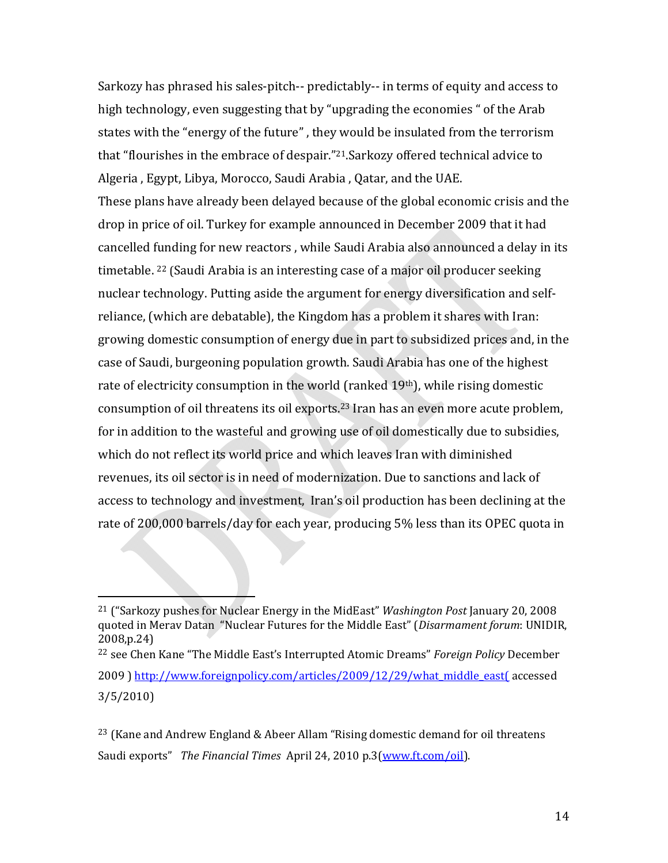Sarkozy has phrased his sales‐pitch‐‐ predictably‐‐ in terms of equity and access to high technology, even suggesting that by "upgrading the economies " of the Arab states with the "energy of the future" , they would be insulated from the terrorism that "flourishes in the embrace of despair."21.Sarkozy offered technical advice to Algeria , Egypt, Libya, Morocco, Saudi Arabia , Qatar, and the UAE. These plans have already been delayed because of the global economic crisis and the drop in price of oil. Turkey for example announced in December 2009 that it had cancelled funding for new reactors , while Saudi Arabia also announced a delay in its timetable. 22 (Saudi Arabia is an interesting case of a major oil producer seeking nuclear technology. Putting aside the argument for energy diversification and self‐ reliance, (which are debatable), the Kingdom has a problem it shares with Iran: growing domestic consumption of energy due in part to subsidized prices and, in the case of Saudi, burgeoning population growth. Saudi Arabia has one of the highest rate of electricity consumption in the world (ranked 19<sup>th</sup>), while rising domestic consumption of oil threatens its oil exports.23 Iran has an even more acute problem, for in addition to the wasteful and growing use of oil domestically due to subsidies, which do not reflect its world price and which leaves Iran with diminished revenues, its oil sector is in need of modernization. Due to sanctions and lack of access to technology and investment, Iran's oil production has been declining at the rate of 200,000 barrels/day for each year, producing 5% less than its OPEC quota in

 $\overline{\phantom{a}}$  . The contract of  $\overline{\phantom{a}}$ 

<sup>21</sup> ("Sarkozy pushes for Nuclear Energy in the MidEast" *Washington Post* January 20, 2008 quoted in Merav Datan "Nuclear Futures for the Middle East" (*Disarmament forum*: UNIDIR, 2008,p.24)

<sup>22</sup> see Chen Kane "The Middle East's Interrupted Atomic Dreams" *Foreign Policy* December 2009 ) http://www.foreignpolicy.com/articles/2009/12/29/what\_middle\_east( accessed 3/5/2010)

 $^{23}$  (Kane and Andrew England & Abeer Allam "Rising domestic demand for oil threatens Saudi exports" *The Financial Times* April 24, 2010 p.3(www.ft.com/oil).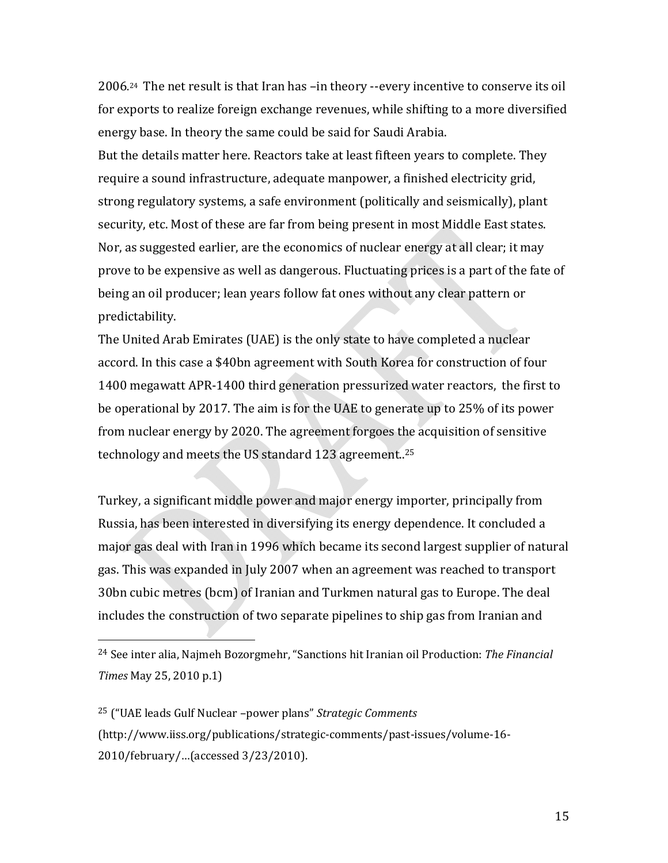2006. 24 The net result is that Iran has –in theory ‐‐every incentive to conserve its oil for exports to realize foreign exchange revenues, while shifting to a more diversified energy base. In theory the same could be said for Saudi Arabia. But the details matter here. Reactors take at least fifteen years to complete. They require a sound infrastructure, adequate manpower, a finished electricity grid, strong regulatory systems, a safe environment (politically and seismically), plant security, etc. Most of these are far from being present in most Middle East states. Nor, as suggested earlier, are the economics of nuclear energy at all clear; it may prove to be expensive as well as dangerous. Fluctuating prices is a part of the fate of being an oil producer; lean years follow fat ones without any clear pattern or predictability.

The United Arab Emirates (UAE) is the only state to have completed a nuclear accord. In this case a \$40bn agreement with South Korea for construction of four 1400 megawatt APR‐1400 third generation pressurized water reactors, the first to be operational by 2017. The aim is for the UAE to generate up to 25% of its power from nuclear energy by 2020. The agreement forgoes the acquisition of sensitive technology and meets the US standard 123 agreement..25

Turkey, a significant middle power and major energy importer, principally from Russia, has been interested in diversifying its energy dependence. It concluded a major gas deal with Iran in 1996 which became its second largest supplier of natural gas. This was expanded in July 2007 when an agreement was reached to transport 30bn cubic metres (bcm) of Iranian and Turkmen natural gas to Europe. The deal includes the construction of two separate pipelines to ship gas from Iranian and

 $\overline{\phantom{a}}$ 

<sup>24</sup> See inter alia, Najmeh Bozorgmehr, "Sanctions hit Iranian oil Production: *The Financial Times* May 25, 2010 p.1)

<sup>25</sup> ("UAE leads Gulf Nuclear –power plans" *Strategic Comments* (http://www.iiss.org/publications/strategic‐comments/past‐issues/volume‐16‐ 2010/february/…(accessed 3/23/2010).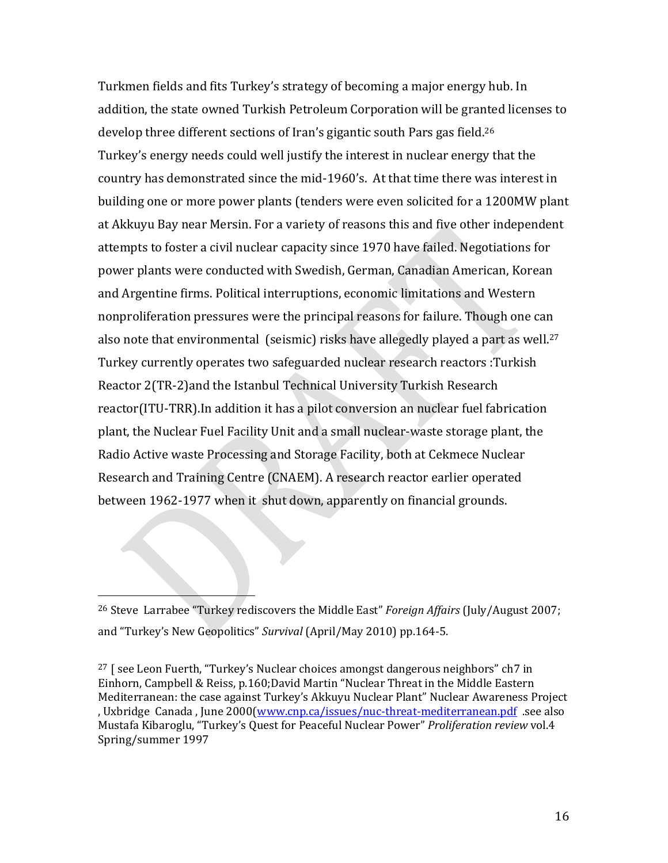Turkmen fields and fits Turkey's strategy of becoming a major energy hub. In addition, the state owned Turkish Petroleum Corporation will be granted licenses to develop three different sections of Iran's gigantic south Pars gas field.26 Turkey's energy needs could well justify the interest in nuclear energy that the country has demonstrated since the mid‐1960's. At that time there was interest in building one or more power plants (tenders were even solicited for a 1200MW plant at Akkuyu Bay near Mersin. For a variety of reasons this and five other independent attempts to foster a civil nuclear capacity since 1970 have failed. Negotiations for power plants were conducted with Swedish, German, Canadian American, Korean and Argentine firms. Political interruptions, economic limitations and Western nonproliferation pressures were the principal reasons for failure. Though one can also note that environmental (seismic) risks have allegedly played a part as well.<sup>27</sup> Turkey currently operates two safeguarded nuclear research reactors :Turkish Reactor 2(TR‐2)and the Istanbul Technical University Turkish Research reactor(ITU‐TRR).In addition it has a pilot conversion an nuclear fuel fabrication plant, the Nuclear Fuel Facility Unit and a small nuclear‐waste storage plant, the Radio Active waste Processing and Storage Facility, both at Cekmece Nuclear Research and Training Centre (CNAEM). A research reactor earlier operated between 1962‐1977 when it shut down, apparently on financial grounds.

<sup>26</sup> Steve Larrabee "Turkey rediscovers the Middle East" *Foreign Affairs* (July/August 2007; and "Turkey's New Geopolitics" *Survival* (April/May 2010) pp.164‐5.

 $\overbrace{\hspace{27mm}}$ 

 $27$  [ see Leon Fuerth, "Turkey's Nuclear choices amongst dangerous neighbors" ch7 in Einhorn, Campbell & Reiss, p.160;David Martin "Nuclear Threat in the Middle Eastern Mediterranean: the case against Turkey's Akkuyu Nuclear Plant" Nuclear Awareness Project , Uxbridge Canada, June 2000(www.cnp.ca/issues/nuc-threat-mediterranean.pdf .see also Mustafa Kibaroglu, "Turkey's Quest for Peaceful Nuclear Power" *Proliferation review* vol.4 Spring/summer 1997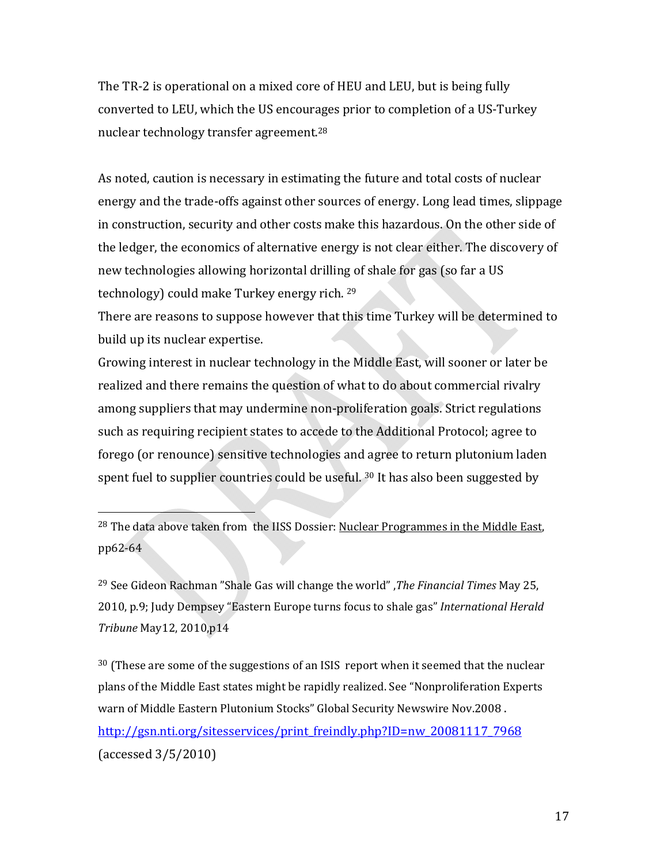The TR‐2 is operational on a mixed core of HEU and LEU, but is being fully converted to LEU, which the US encourages prior to completion of a US‐Turkey nuclear technology transfer agreement.28

As noted, caution is necessary in estimating the future and total costs of nuclear energy and the trade‐offs against other sources of energy. Long lead times, slippage in construction, security and other costs make this hazardous. On the other side of the ledger, the economics of alternative energy is not clear either. The discovery of new technologies allowing horizontal drilling of shale for gas (so far a US technology) could make Turkey energy rich. 29

There are reasons to suppose however that this time Turkey will be determined to build up its nuclear expertise.

Growing interest in nuclear technology in the Middle East, will sooner or later be realized and there remains the question of what to do about commercial rivalry among suppliers that may undermine non‐proliferation goals. Strict regulations such as requiring recipient states to accede to the Additional Protocol; agree to forego (or renounce) sensitive technologies and agree to return plutonium laden spent fuel to supplier countries could be useful. <sup>30</sup> It has also been suggested by

<sup>28</sup> The data above taken from the IISS Dossier: Nuclear Programmes in the Middle East, pp62‐64

 $\overline{\phantom{a}}$  and  $\overline{\phantom{a}}$  and  $\overline{\phantom{a}}$ 

<sup>29</sup> See Gideon Rachman "Shale Gas will change the world" ,*The Financial Times* May 25, 2010, p.9; Judy Dempsey "Eastern Europe turns focus to shale gas" *International Herald Tribune* May12, 2010,p14

 $30$  (These are some of the suggestions of an ISIS report when it seemed that the nuclear plans of the Middle East states might be rapidly realized. See "Nonproliferation Experts warn of Middle Eastern Plutonium Stocks" Global Security Newswire Nov.2008 . http://gsn.nti.org/sitesservices/print\_freindly.php?ID=nw\_20081117\_7968 (accessed 3/5/2010)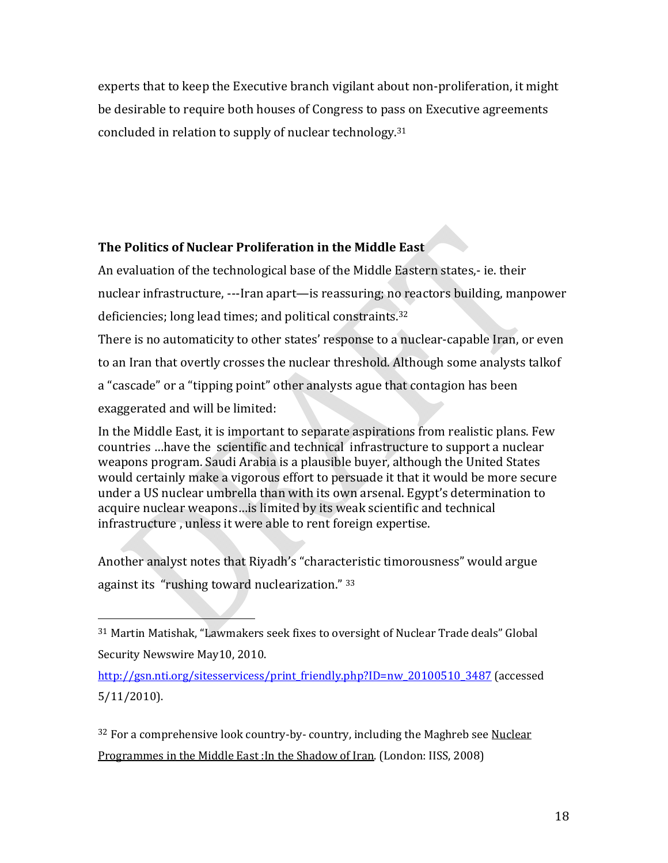experts that to keep the Executive branch vigilant about non‐proliferation, it might be desirable to require both houses of Congress to pass on Executive agreements concluded in relation to supply of nuclear technology.31

## **The Politics of Nuclear Proliferation in the Middle East**

An evaluation of the technological base of the Middle Eastern states,‐ ie. their nuclear infrastructure, ‐‐‐Iran apart—is reassuring; no reactors building, manpower deficiencies; long lead times; and political constraints.32 There is no automaticity to other states' response to a nuclear-capable Iran, or even to an Iran that overtly crosses the nuclear threshold. Although some analysts talkof

a "cascade" or a "tipping point" other analysts ague that contagion has been exaggerated and will be limited:

In the Middle East, it is important to separate aspirations from realistic plans. Few countries …have the scientific and technical infrastructure to support a nuclear weapons program. Saudi Arabia is a plausible buyer, although the United States would certainly make a vigorous effort to persuade it that it would be more secure under a US nuclear umbrella than with its own arsenal. Egypt's determination to acquire nuclear weapons…is limited by its weak scientific and technical infrastructure , unless it were able to rent foreign expertise.

Another analyst notes that Riyadh's "characteristic timorousness" would argue against its "rushing toward nuclearization." 33

 $\overline{\phantom{a}}$ 

 $32$  For a comprehensive look country-by- country, including the Maghreb see Nuclear Programmes in the Middle East :In the Shadow of Iran. (London: IISS, 2008)

<sup>31</sup> Martin Matishak, "Lawmakers seek fixes to oversight of Nuclear Trade deals" Global Security Newswire May10, 2010.

http://gsn.nti.org/sitesservicess/print\_friendly.php?ID=nw\_20100510\_3487 (accessed 5/11/2010).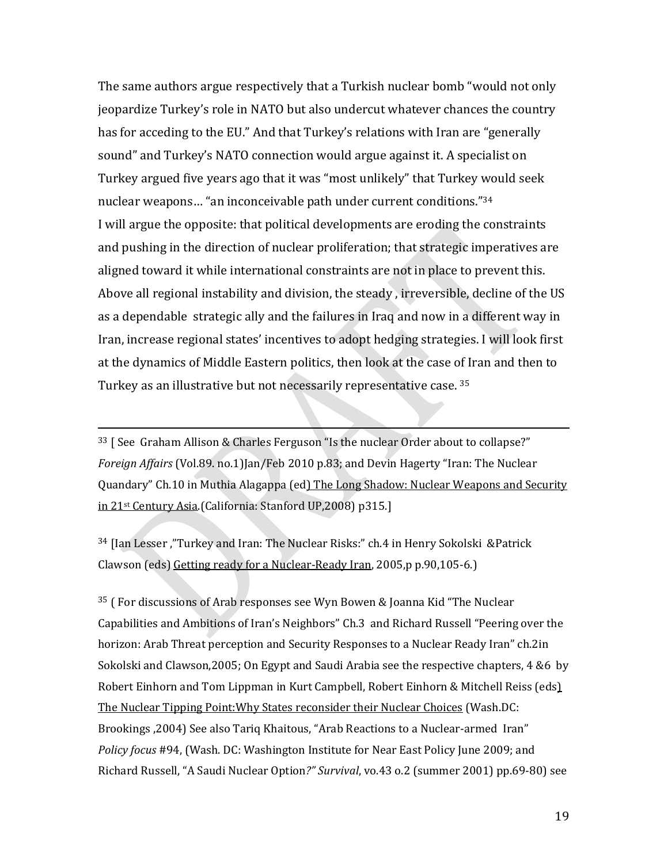The same authors argue respectively that a Turkish nuclear bomb "would not only jeopardize Turkey's role in NATO but also undercut whatever chances the country has for acceding to the EU." And that Turkey's relations with Iran are "generally sound" and Turkey's NATO connection would argue against it. A specialist on Turkey argued five years ago that it was "most unlikely" that Turkey would seek nuclear weapons… "an inconceivable path under current conditions."34 I will argue the opposite: that political developments are eroding the constraints and pushing in the direction of nuclear proliferation; that strategic imperatives are aligned toward it while international constraints are not in place to prevent this. Above all regional instability and division, the steady , irreversible, decline of the US as a dependable strategic ally and the failures in Iraq and now in a different way in Iran, increase regional states' incentives to adopt hedging strategies. I will look first at the dynamics of Middle Eastern politics, then look at the case of Iran and then to Turkey as an illustrative but not necessarily representative case. 35

<sup>33</sup> [ See Graham Allison & Charles Ferguson "Is the nuclear Order about to collapse?" *Foreign Affairs* (Vol.89. no.1)Jan/Feb 2010 p.83; and Devin Hagerty "Iran: The Nuclear Quandary" Ch.10 in Muthia Alagappa (ed) The Long Shadow: Nuclear Weapons and Security in 21st Century Asia.(California: Stanford UP,2008) p315.]

<sup>34</sup> [Ian Lesser ,"Turkey and Iran: The Nuclear Risks:" ch.4 in Henry Sokolski &Patrick Clawson (eds) Getting ready for a Nuclear‐Ready Iran, 2005,p p.90,105‐6.)

<sup>35</sup> ( For discussions of Arab responses see Wyn Bowen & Joanna Kid "The Nuclear Capabilities and Ambitions of Iran's Neighbors" Ch.3 and Richard Russell "Peering over the horizon: Arab Threat perception and Security Responses to a Nuclear Ready Iran" ch.2in Sokolski and Clawson,2005; On Egypt and Saudi Arabia see the respective chapters, 4 &6 by Robert Einhorn and Tom Lippman in Kurt Campbell, Robert Einhorn & Mitchell Reiss (eds) The Nuclear Tipping Point:Why States reconsider their Nuclear Choices (Wash.DC: Brookings ,2004) See also Tariq Khaitous, "Arab Reactions to a Nuclear‐armed Iran" *Policy focus* #94, (Wash. DC: Washington Institute for Near East Policy June 2009; and Richard Russell, "A Saudi Nuclear Option*?" Survival*, vo.43 o.2 (summer 2001) pp.69‐80) see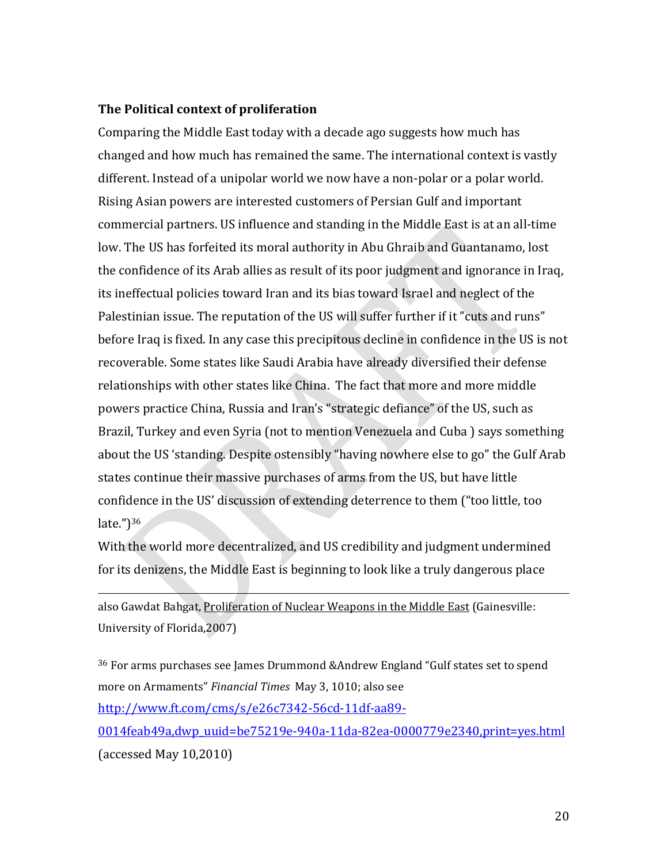### **The Political context of proliferation**

Comparing the Middle East today with a decade ago suggests how much has changed and how much has remained the same. The international context is vastly different. Instead of a unipolar world we now have a non‐polar or a polar world. Rising Asian powers are interested customers of Persian Gulf and important commercial partners. US influence and standing in the Middle East is at an all‐time low. The US has forfeited its moral authority in Abu Ghraib and Guantanamo, lost the confidence of its Arab allies as result of its poor judgment and ignorance in Iraq, its ineffectual policies toward Iran and its bias toward Israel and neglect of the Palestinian issue. The reputation of the US will suffer further if it "cuts and runs" before Iraq is fixed. In any case this precipitous decline in confidence in the US is not recoverable. Some states like Saudi Arabia have already diversified their defense relationships with other states like China. The fact that more and more middle powers practice China, Russia and Iran's "strategic defiance" of the US, such as Brazil, Turkey and even Syria (not to mention Venezuela and Cuba ) says something about the US 'standing. Despite ostensibly "having nowhere else to go" the Gulf Arab states continue their massive purchases of arms from the US, but have little confidence in the US' discussion of extending deterrence to them ("too little, too late.")36

With the world more decentralized, and US credibility and judgment undermined for its denizens, the Middle East is beginning to look like a truly dangerous place

also Gawdat Bahgat, Proliferation of Nuclear Weapons in the Middle East (Gainesville: University of Florida,2007)

<sup>36</sup> For arms purchases see James Drummond &Andrew England "Gulf states set to spend more on Armaments" *Financial Times* May 3, 1010; also see http://www.ft.com/cms/s/e26c7342‐56cd‐11df‐aa89‐ 0014feab49a,dwp\_uuid=be75219e‐940a‐11da‐82ea‐0000779e2340,print=yes.html (accessed May 10,2010)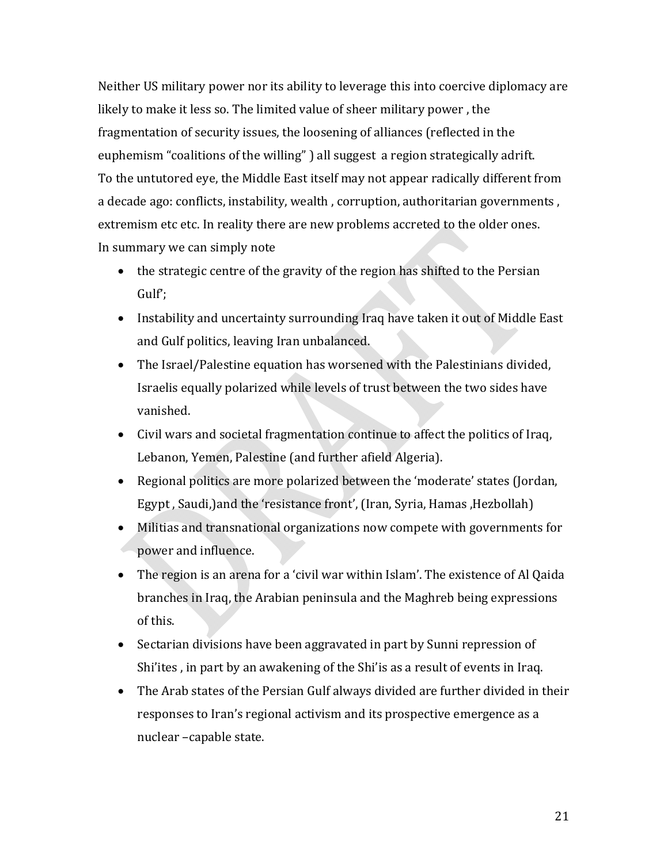Neither US military power nor its ability to leverage this into coercive diplomacy are likely to make it less so. The limited value of sheer military power , the fragmentation of security issues, the loosening of alliances (reflected in the euphemism "coalitions of the willing" ) all suggest a region strategically adrift. To the untutored eye, the Middle East itself may not appear radically different from a decade ago: conflicts, instability, wealth , corruption, authoritarian governments , extremism etc etc. In reality there are new problems accreted to the older ones. In summary we can simply note

- the strategic centre of the gravity of the region has shifted to the Persian Gulf';
- Instability and uncertainty surrounding Iraq have taken it out of Middle East and Gulf politics, leaving Iran unbalanced.
- The Israel/Palestine equation has worsened with the Palestinians divided, Israelis equally polarized while levels of trust between the two sides have vanished.
- Civil wars and societal fragmentation continue to affect the politics of Iraq, Lebanon, Yemen, Palestine (and further afield Algeria).
- Regional politics are more polarized between the 'moderate' states (Jordan, Egypt , Saudi,)and the 'resistance front', (Iran, Syria, Hamas ,Hezbollah)
- Militias and transnational organizations now compete with governments for power and influence.
- The region is an arena for a 'civil war within Islam'. The existence of Al Qaida branches in Iraq, the Arabian peninsula and the Maghreb being expressions of this.
- Sectarian divisions have been aggravated in part by Sunni repression of Shi'ites , in part by an awakening of the Shi'is as a result of events in Iraq.
- The Arab states of the Persian Gulf always divided are further divided in their responses to Iran's regional activism and its prospective emergence as a nuclear –capable state.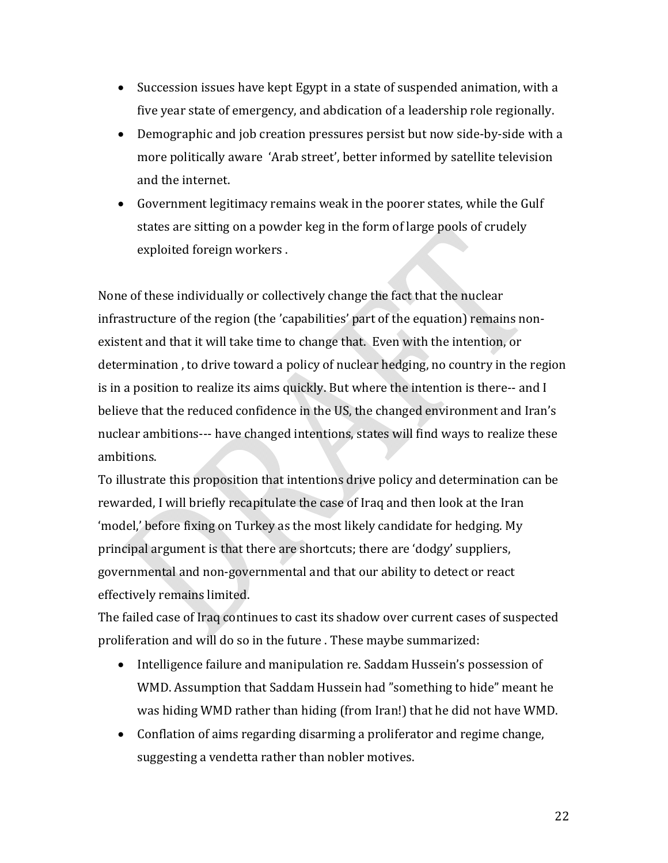- Succession issues have kept Egypt in a state of suspended animation, with a five year state of emergency, and abdication of a leadership role regionally.
- Demographic and job creation pressures persist but now side-by-side with a more politically aware 'Arab street', better informed by satellite television and the internet.
- Government legitimacy remains weak in the poorer states, while the Gulf states are sitting on a powder keg in the form of large pools of crudely exploited foreign workers .

None of these individually or collectively change the fact that the nuclear infrastructure of the region (the 'capabilities' part of the equation) remains non‐ existent and that it will take time to change that. Even with the intention, or determination , to drive toward a policy of nuclear hedging, no country in the region is in a position to realize its aims quickly. But where the intention is there-- and I believe that the reduced confidence in the US, the changed environment and Iran's nuclear ambitions--- have changed intentions, states will find ways to realize these ambitions.

To illustrate this proposition that intentions drive policy and determination can be rewarded, I will briefly recapitulate the case of Iraq and then look at the Iran 'model,' before fixing on Turkey as the most likely candidate for hedging. My principal argument is that there are shortcuts; there are 'dodgy' suppliers, governmental and non‐governmental and that our ability to detect or react effectively remains limited.

The failed case of Iraq continues to cast its shadow over current cases of suspected proliferation and will do so in the future . These maybe summarized:

- Intelligence failure and manipulation re. Saddam Hussein's possession of WMD. Assumption that Saddam Hussein had "something to hide" meant he was hiding WMD rather than hiding (from Iran!) that he did not have WMD.
- Conflation of aims regarding disarming a proliferator and regime change, suggesting a vendetta rather than nobler motives.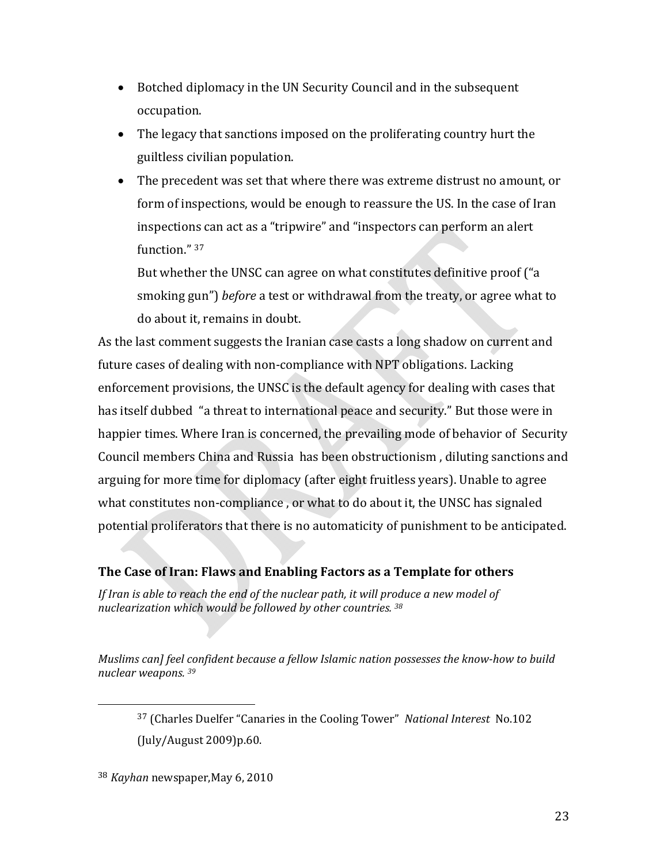- Botched diplomacy in the UN Security Council and in the subsequent occupation.
- The legacy that sanctions imposed on the proliferating country hurt the guiltless civilian population.
- The precedent was set that where there was extreme distrust no amount, or form of inspections, would be enough to reassure the US. In the case of Iran inspections can act as a "tripwire" and "inspectors can perform an alert function." 37

But whether the UNSC can agree on what constitutes definitive proof ("a smoking gun") *before* a test or withdrawal from the treaty, or agree what to do about it, remains in doubt.

As the last comment suggests the Iranian case casts a long shadow on current and future cases of dealing with non‐compliance with NPT obligations. Lacking enforcement provisions, the UNSC is the default agency for dealing with cases that has itself dubbed "a threat to international peace and security." But those were in happier times. Where Iran is concerned, the prevailing mode of behavior of Security Council members China and Russia has been obstructionism , diluting sanctions and arguing for more time for diplomacy (after eight fruitless years). Unable to agree what constitutes non-compliance, or what to do about it, the UNSC has signaled potential proliferators that there is no automaticity of punishment to be anticipated.

### **The Case of Iran: Flaws and Enabling Factors as a Template for others**

*If Iran is able to reach the end of the nuclear path, it will produce a new model of nuclearization which would be followed by other countries. <sup>38</sup>*

*Muslims can] feel confident because a fellow Islamic nation possesses the knowhow to build nuclear weapons. <sup>39</sup>*

<sup>38</sup> *Kayhan* newspaper,May 6, 2010

<sup>37</sup> (Charles Duelfer "Canaries in the Cooling Tower" *National Interest* No.102 (July/August 2009)p.60.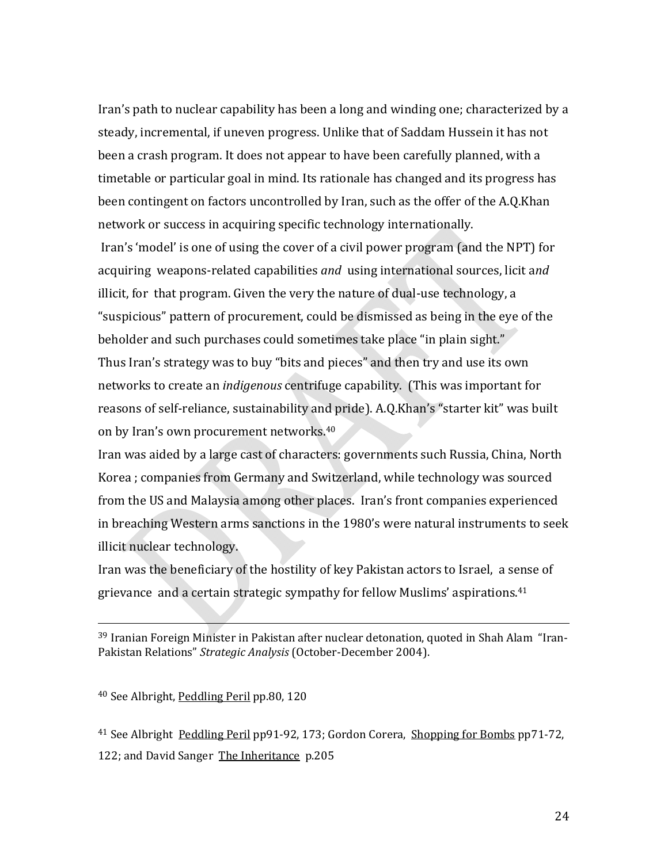Iran's path to nuclear capability has been a long and winding one; characterized by a steady, incremental, if uneven progress. Unlike that of Saddam Hussein it has not been a crash program. It does not appear to have been carefully planned, with a timetable or particular goal in mind. Its rationale has changed and its progress has been contingent on factors uncontrolled by Iran, such as the offer of the A.Q.Khan network or success in acquiring specific technology internationally.

 Iran's 'model' is one of using the cover of a civil power program (and the NPT) for acquiring weapons‐related capabilities *and* using international sources, licit a*nd* illicit, for that program. Given the very the nature of dual‐use technology, a "suspicious" pattern of procurement, could be dismissed as being in the eye of the beholder and such purchases could sometimes take place "in plain sight." Thus Iran's strategy was to buy "bits and pieces" and then try and use its own networks to create an *indigenous* centrifuge capability. (This was important for reasons of self‐reliance, sustainability and pride). A.Q.Khan's "starter kit" was built on by Iran's own procurement networks.40

Iran was aided by a large cast of characters: governments such Russia, China, North Korea ; companies from Germany and Switzerland, while technology was sourced from the US and Malaysia among other places. Iran's front companies experienced in breaching Western arms sanctions in the 1980's were natural instruments to seek illicit nuclear technology.

Iran was the beneficiary of the hostility of key Pakistan actors to Israel, a sense of grievance and a certain strategic sympathy for fellow Muslims' aspirations.41

<sup>39</sup> Iranian Foreign Minister in Pakistan after nuclear detonation, quoted in Shah Alam "Iran-Pakistan Relations" *Strategic Analysis* (October‐December 2004).

<sup>40</sup> See Albright, Peddling Peril pp.80, 120

<sup>41</sup> See Albright Peddling Peril pp91‐92, 173; Gordon Corera, Shopping for Bombs pp71‐72, 122; and David Sanger The Inheritance p.205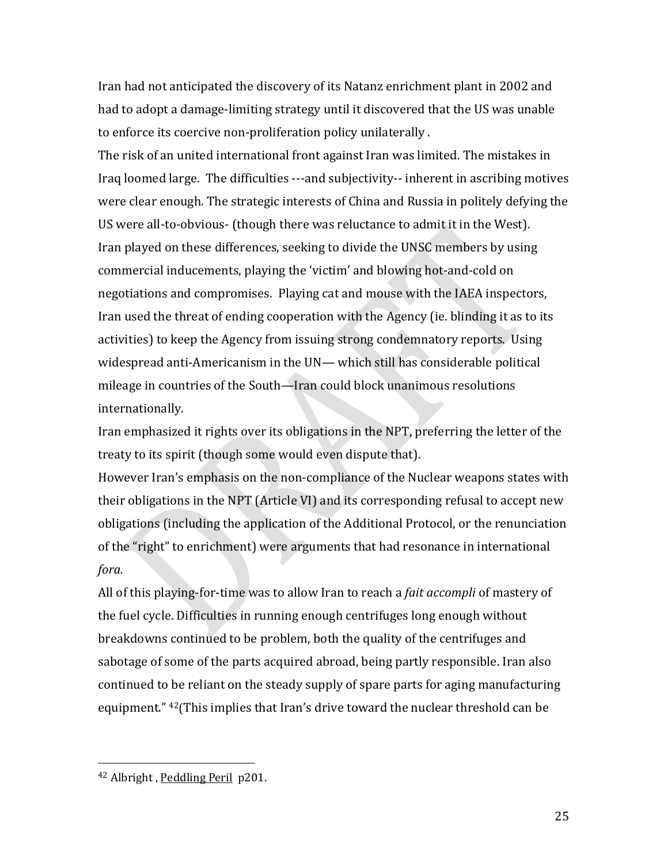Iran had not anticipated the discovery of its Natanz enrichment plant in 2002 and had to adopt a damage‐limiting strategy until it discovered that the US was unable to enforce its coercive non‐proliferation policy unilaterally .

The risk of an united international front against Iran was limited. The mistakes in Iraq loomed large. The difficulties ‐‐‐and subjectivity‐‐ inherent in ascribing motives were clear enough. The strategic interests of China and Russia in politely defying the US were all‐to‐obvious‐ (though there was reluctance to admit it in the West). Iran played on these differences, seeking to divide the UNSC members by using commercial inducements, playing the 'victim' and blowing hot‐and‐cold on negotiations and compromises. Playing cat and mouse with the IAEA inspectors, Iran used the threat of ending cooperation with the Agency (ie. blinding it as to its activities) to keep the Agency from issuing strong condemnatory reports. Using widespread anti-Americanism in the UN— which still has considerable political mileage in countries of the South—Iran could block unanimous resolutions internationally.

Iran emphasized it rights over its obligations in the NPT, preferring the letter of the treaty to its spirit (though some would even dispute that).

However Iran's emphasis on the non‐compliance of the Nuclear weapons states with their obligations in the NPT (Article VI) and its corresponding refusal to accept new obligations (including the application of the Additional Protocol, or the renunciation of the "right" to enrichment) were arguments that had resonance in international *fora.*

All of this playing‐for‐time was to allow Iran to reach a *fait accompli* of mastery of the fuel cycle. Difficulties in running enough centrifuges long enough without breakdowns continued to be problem, both the quality of the centrifuges and sabotage of some of the parts acquired abroad, being partly responsible. Iran also continued to be reliant on the steady supply of spare parts for aging manufacturing equipment." 42(This implies that Iran's drive toward the nuclear threshold can be

 <sup>42</sup> Albright , Peddling Peril p201.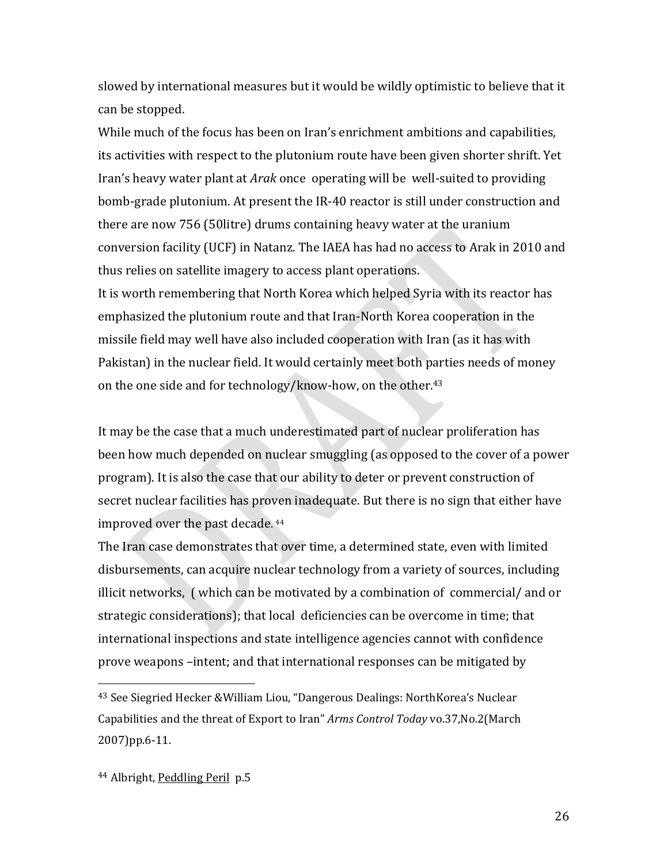slowed by international measures but it would be wildly optimistic to believe that it can be stopped.

While much of the focus has been on Iran's enrichment ambitions and capabilities, its activities with respect to the plutonium route have been given shorter shrift. Yet Iran's heavy water plant at *Arak* once operating will be well‐suited to providing bomb‐grade plutonium. At present the IR‐40 reactor is still under construction and there are now 756 (50litre) drums containing heavy water at the uranium conversion facility (UCF) in Natanz. The IAEA has had no access to Arak in 2010 and thus relies on satellite imagery to access plant operations.

It is worth remembering that North Korea which helped Syria with its reactor has emphasized the plutonium route and that Iran‐North Korea cooperation in the missile field may well have also included cooperation with Iran (as it has with Pakistan) in the nuclear field. It would certainly meet both parties needs of money on the one side and for technology/know‐how, on the other.43

It may be the case that a much underestimated part of nuclear proliferation has been how much depended on nuclear smuggling (as opposed to the cover of a power program). It is also the case that our ability to deter or prevent construction of secret nuclear facilities has proven inadequate. But there is no sign that either have improved over the past decade. 44

The Iran case demonstrates that over time, a determined state, even with limited disbursements, can acquire nuclear technology from a variety of sources, including illicit networks, ( which can be motivated by a combination of commercial/ and or strategic considerations); that local deficiencies can be overcome in time; that international inspections and state intelligence agencies cannot with confidence prove weapons –intent; and that international responses can be mitigated by

<sup>43</sup> See Siegried Hecker &William Liou, "Dangerous Dealings: NorthKorea's Nuclear Capabilities and the threat of Export to Iran" *Arms Control Today* vo.37,No.2(March 2007)pp.6‐11.

<sup>44</sup> Albright, Peddling Peril p.5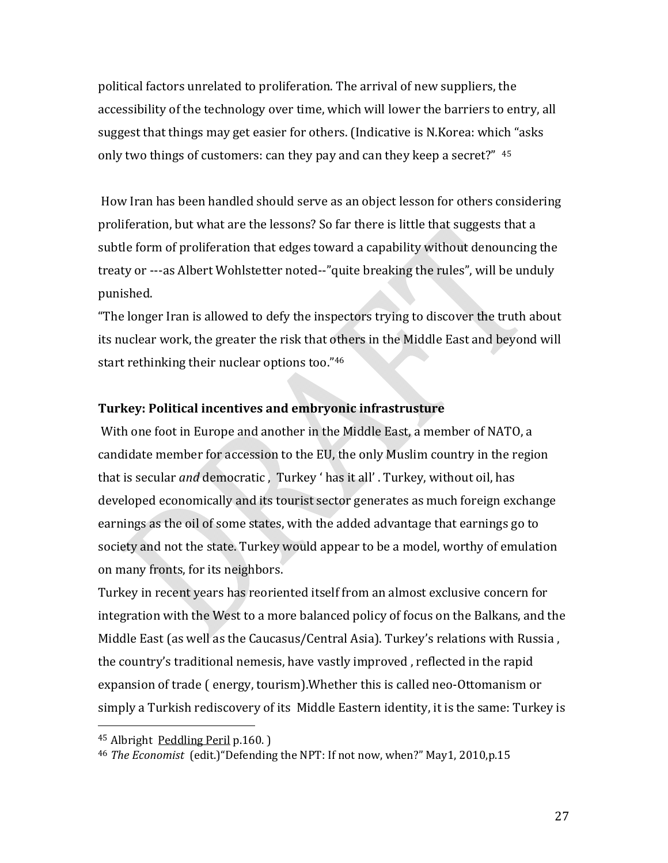political factors unrelated to proliferation. The arrival of new suppliers, the accessibility of the technology over time, which will lower the barriers to entry, all suggest that things may get easier for others. (Indicative is N.Korea: which "asks only two things of customers: can they pay and can they keep a secret?" 45

 How Iran has been handled should serve as an object lesson for others considering proliferation, but what are the lessons? So far there is little that suggests that a subtle form of proliferation that edges toward a capability without denouncing the treaty or ‐‐‐as Albert Wohlstetter noted‐‐"quite breaking the rules", will be unduly punished.

"The longer Iran is allowed to defy the inspectors trying to discover the truth about its nuclear work, the greater the risk that others in the Middle East and beyond will start rethinking their nuclear options too."46

### **Turkey: Political incentives and embryonic infrastrusture**

 With one foot in Europe and another in the Middle East, a member of NATO, a candidate member for accession to the EU, the only Muslim country in the region that is secular *and* democratic , Turkey ' has it all' . Turkey, without oil, has developed economically and its tourist sector generates as much foreign exchange earnings as the oil of some states, with the added advantage that earnings go to society and not the state. Turkey would appear to be a model, worthy of emulation on many fronts, for its neighbors.

Turkey in recent years has reoriented itself from an almost exclusive concern for integration with the West to a more balanced policy of focus on the Balkans, and the Middle East (as well as the Caucasus/Central Asia). Turkey's relations with Russia , the country's traditional nemesis, have vastly improved , reflected in the rapid expansion of trade ( energy, tourism).Whether this is called neo‐Ottomanism or simply a Turkish rediscovery of its Middle Eastern identity, it is the same: Turkey is

<sup>45</sup> Albright Peddling Peril p.160. )

<sup>46</sup> *The Economist* (edit.)"Defending the NPT: If not now, when?" May1, 2010,p.15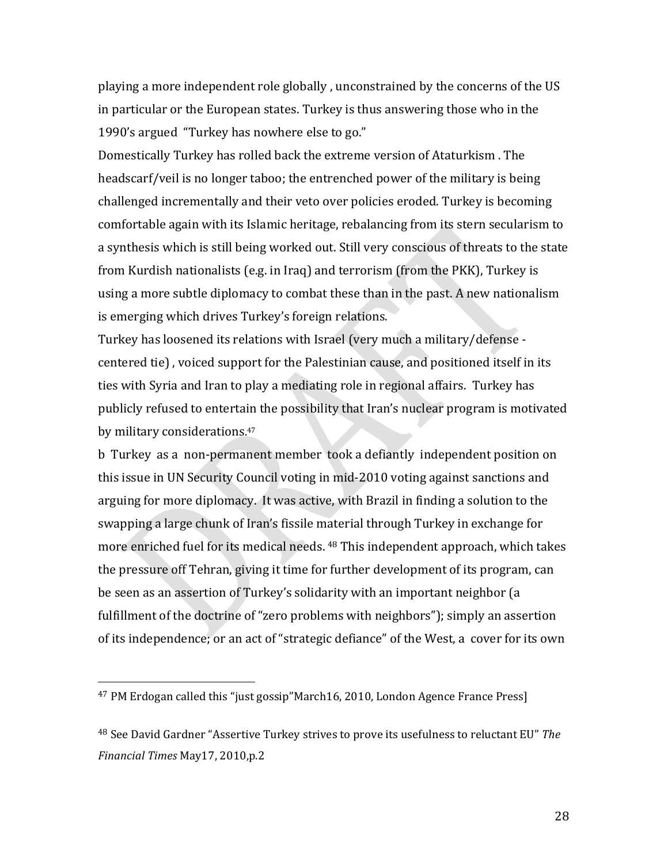playing a more independent role globally , unconstrained by the concerns of the US in particular or the European states. Turkey is thus answering those who in the 1990's argued "Turkey has nowhere else to go."

Domestically Turkey has rolled back the extreme version of Ataturkism . The headscarf/veil is no longer taboo; the entrenched power of the military is being challenged incrementally and their veto over policies eroded. Turkey is becoming comfortable again with its Islamic heritage, rebalancing from its stern secularism to a synthesis which is still being worked out. Still very conscious of threats to the state from Kurdish nationalists (e.g. in Iraq) and terrorism (from the PKK), Turkey is using a more subtle diplomacy to combat these than in the past. A new nationalism is emerging which drives Turkey's foreign relations.

Turkey has loosened its relations with Israel (very much a military/defense ‐ centered tie) , voiced support for the Palestinian cause, and positioned itself in its ties with Syria and Iran to play a mediating role in regional affairs. Turkey has publicly refused to entertain the possibility that Iran's nuclear program is motivated by military considerations.<sup>47</sup>

b Turkey as a non‐permanent member took a defiantly independent position on this issue in UN Security Council voting in mid‐2010 voting against sanctions and arguing for more diplomacy. It was active, with Brazil in finding a solution to the swapping a large chunk of Iran's fissile material through Turkey in exchange for more enriched fuel for its medical needs. 48 This independent approach, which takes the pressure off Tehran, giving it time for further development of its program, can be seen as an assertion of Turkey's solidarity with an important neighbor (a fulfillment of the doctrine of "zero problems with neighbors"); simply an assertion of its independence; or an act of "strategic defiance" of the West, a cover for its own

<sup>47</sup> PM Erdogan called this "just gossip"March16, 2010, London Agence France Press]

<sup>48</sup> See David Gardner "Assertive Turkey strives to prove its usefulness to reluctant EU" *The Financial Times* May17, 2010,p.2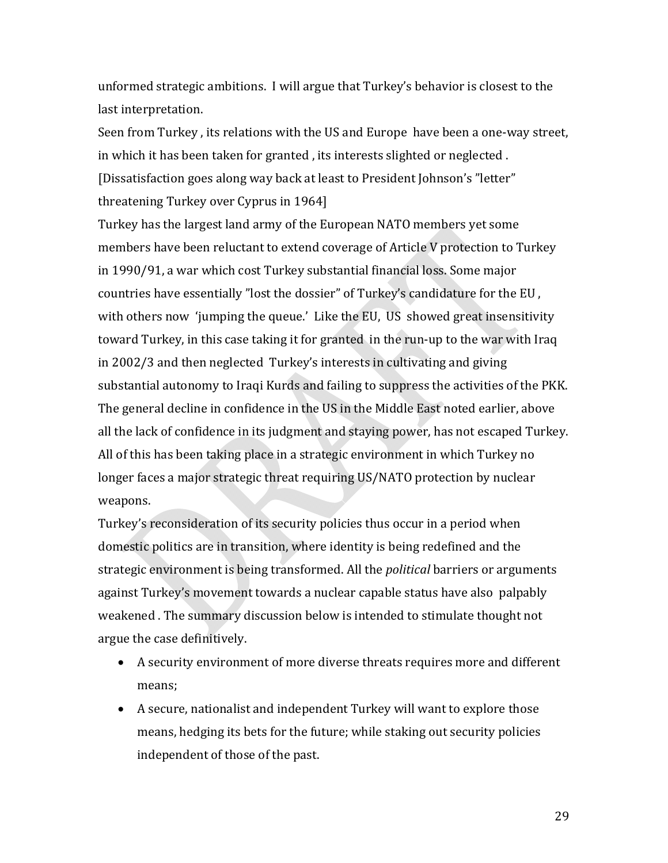unformed strategic ambitions. I will argue that Turkey's behavior is closest to the last interpretation.

Seen from Turkey, its relations with the US and Europe have been a one-way street, in which it has been taken for granted , its interests slighted or neglected . [Dissatisfaction goes along way back at least to President Johnson's "letter" threatening Turkey over Cyprus in 1964] 

Turkey has the largest land army of the European NATO members yet some members have been reluctant to extend coverage of Article V protection to Turkey in 1990/91, a war which cost Turkey substantial financial loss. Some major countries have essentially "lost the dossier" of Turkey's candidature for the EU , with others now 'jumping the queue.' Like the EU, US showed great insensitivity toward Turkey, in this case taking it for granted in the run‐up to the war with Iraq in 2002/3 and then neglected Turkey's interests in cultivating and giving substantial autonomy to Iraqi Kurds and failing to suppress the activities of the PKK. The general decline in confidence in the US in the Middle East noted earlier, above all the lack of confidence in its judgment and staying power, has not escaped Turkey. All of this has been taking place in a strategic environment in which Turkey no longer faces a major strategic threat requiring US/NATO protection by nuclear weapons.

Turkey's reconsideration of its security policies thus occur in a period when domestic politics are in transition, where identity is being redefined and the strategic environment is being transformed. All the *political* barriers or arguments against Turkey's movement towards a nuclear capable status have also palpably weakened . The summary discussion below is intended to stimulate thought not argue the case definitively.

- A security environment of more diverse threats requires more and different means;
- A secure, nationalist and independent Turkey will want to explore those means, hedging its bets for the future; while staking out security policies independent of those of the past.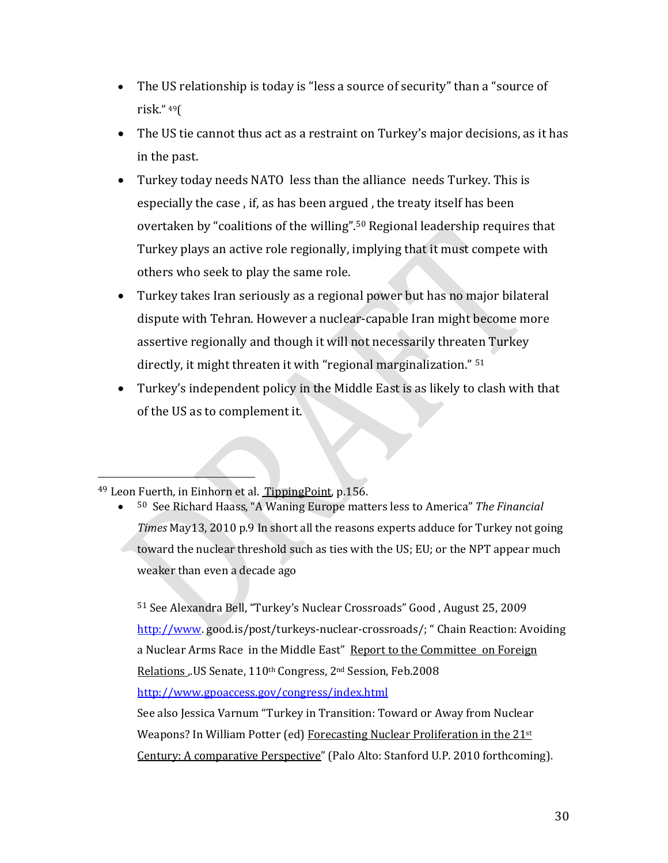- The US relationship is today is "less a source of security" than a "source of risk." 49(
- The US tie cannot thus act as a restraint on Turkey's major decisions, as it has in the past.
- Turkey today needs NATO less than the alliance needs Turkey. This is especially the case , if, as has been argued , the treaty itself has been overtaken by "coalitions of the willing".50 Regional leadership requires that Turkey plays an active role regionally, implying that it must compete with others who seek to play the same role.
- Turkey takes Iran seriously as a regional power but has no major bilateral dispute with Tehran. However a nuclear‐capable Iran might become more assertive regionally and though it will not necessarily threaten Turkey directly, it might threaten it with "regional marginalization." <sup>51</sup>
- Turkey's independent policy in the Middle East is as likely to clash with that of the US as to complement it.

• <sup>50</sup> See Richard Haass, "A Waning Europe matters less to America" *The Financial Times* May13, 2010 p.9 In short all the reasons experts adduce for Turkey not going toward the nuclear threshold such as ties with the US; EU; or the NPT appear much weaker than even a decade ago

<sup>51</sup> See Alexandra Bell, "Turkey's Nuclear Crossroads" Good , August 25, 2009 http://www.good.is/post/turkeys-nuclear-crossroads/; "Chain Reaction: Avoiding a Nuclear Arms Race in the Middle East" Report to the Committee on Foreign Relations ,.US Senate, 110<sup>th</sup> Congress, 2<sup>nd</sup> Session, Feb.2008 http://www.gpoaccess.gov/congress/index.html

See also Jessica Varnum "Turkey in Transition: Toward or Away from Nuclear Weapons? In William Potter (ed) Forecasting Nuclear Proliferation in the 21st Century: A comparative Perspective" (Palo Alto: Stanford U.P. 2010 forthcoming).

 <sup>49</sup> Leon Fuerth, in Einhorn et al. TippingPoint, p.156.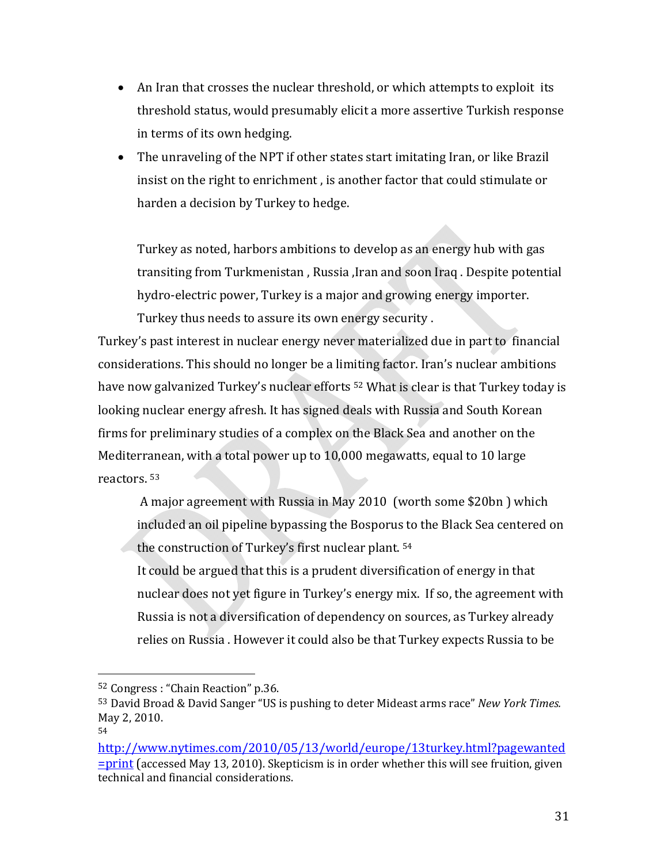- An Iran that crosses the nuclear threshold, or which attempts to exploit its threshold status, would presumably elicit a more assertive Turkish response in terms of its own hedging.
- The unraveling of the NPT if other states start imitating Iran, or like Brazil insist on the right to enrichment , is another factor that could stimulate or harden a decision by Turkey to hedge.

Turkey as noted, harbors ambitions to develop as an energy hub with gas transiting from Turkmenistan , Russia ,Iran and soon Iraq . Despite potential hydro-electric power, Turkey is a major and growing energy importer.

Turkey thus needs to assure its own energy security .

Turkey's past interest in nuclear energy never materialized due in part to financial considerations. This should no longer be a limiting factor. Iran's nuclear ambitions have now galvanized Turkey's nuclear efforts <sup>52</sup> What is clear is that Turkey today is looking nuclear energy afresh. It has signed deals with Russia and South Korean firms for preliminary studies of a complex on the Black Sea and another on the Mediterranean, with a total power up to 10,000 megawatts, equal to 10 large reactors. 53

A major agreement with Russia in May 2010 (worth some \$20bn ) which included an oil pipeline bypassing the Bosporus to the Black Sea centered on the construction of Turkey's first nuclear plant. 54

It could be argued that this is a prudent diversification of energy in that nuclear does not yet figure in Turkey's energy mix. If so, the agreement with Russia is not a diversification of dependency on sources, as Turkey already relies on Russia . However it could also be that Turkey expects Russia to be

<sup>52</sup> Congress : "Chain Reaction" p.36.

<sup>53</sup> David Broad & David Sanger "US is pushing to deter Mideast arms race" *New York Times.* May 2, 2010.

<sup>54</sup>

http://www.nytimes.com/2010/05/13/world/europe/13turkey.html?pagewanted =print (accessed May 13, 2010). Skepticism is in order whether this will see fruition, given technical and financial considerations.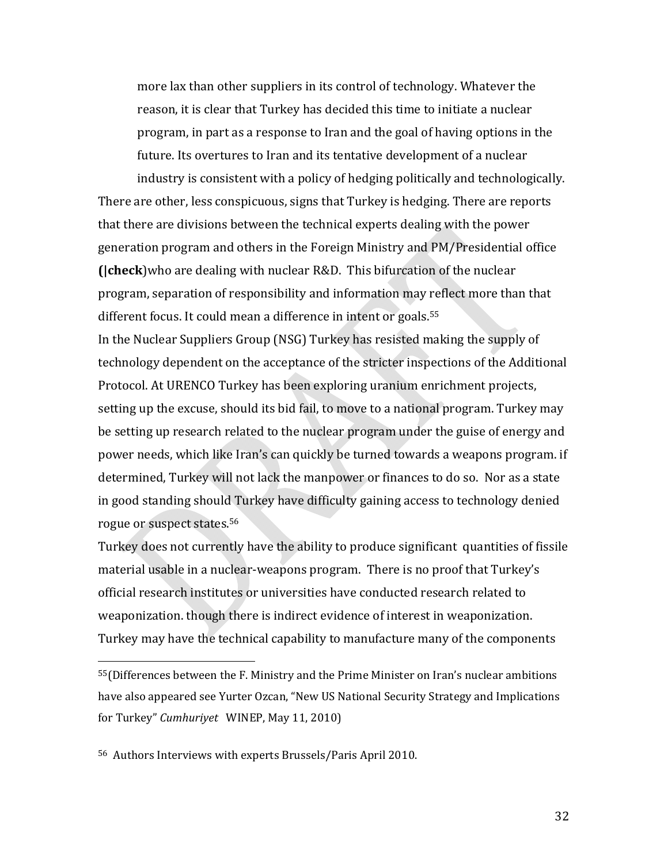more lax than other suppliers in its control of technology. Whatever the reason, it is clear that Turkey has decided this time to initiate a nuclear program, in part as a response to Iran and the goal of having options in the future. Its overtures to Iran and its tentative development of a nuclear industry is consistent with a policy of hedging politically and technologically.

There are other, less conspicuous, signs that Turkey is hedging. There are reports that there are divisions between the technical experts dealing with the power generation program and others in the Foreign Ministry and PM/Presidential office **(|check**)who are dealing with nuclear R&D. This bifurcation of the nuclear program, separation of responsibility and information may reflect more than that different focus. It could mean a difference in intent or goals.<sup>55</sup> In the Nuclear Suppliers Group (NSG) Turkey has resisted making the supply of technology dependent on the acceptance of the stricter inspections of the Additional Protocol. At URENCO Turkey has been exploring uranium enrichment projects, setting up the excuse, should its bid fail, to move to a national program. Turkey may be setting up research related to the nuclear program under the guise of energy and power needs, which like Iran's can quickly be turned towards a weapons program. if determined, Turkey will not lack the manpower or finances to do so. Nor as a state in good standing should Turkey have difficulty gaining access to technology denied rogue or suspect states.56

Turkey does not currently have the ability to produce significant quantities of fissile material usable in a nuclear‐weapons program. There is no proof that Turkey's official research institutes or universities have conducted research related to weaponization. though there is indirect evidence of interest in weaponization. Turkey may have the technical capability to manufacture many of the components

<sup>55(</sup>Differences between the F. Ministry and the Prime Minister on Iran's nuclear ambitions have also appeared see Yurter Ozcan, "New US National Security Strategy and Implications for Turkey" *Cumhuriyet* WINEP, May 11, 2010)

<sup>56</sup> Authors Interviews with experts Brussels/Paris April 2010.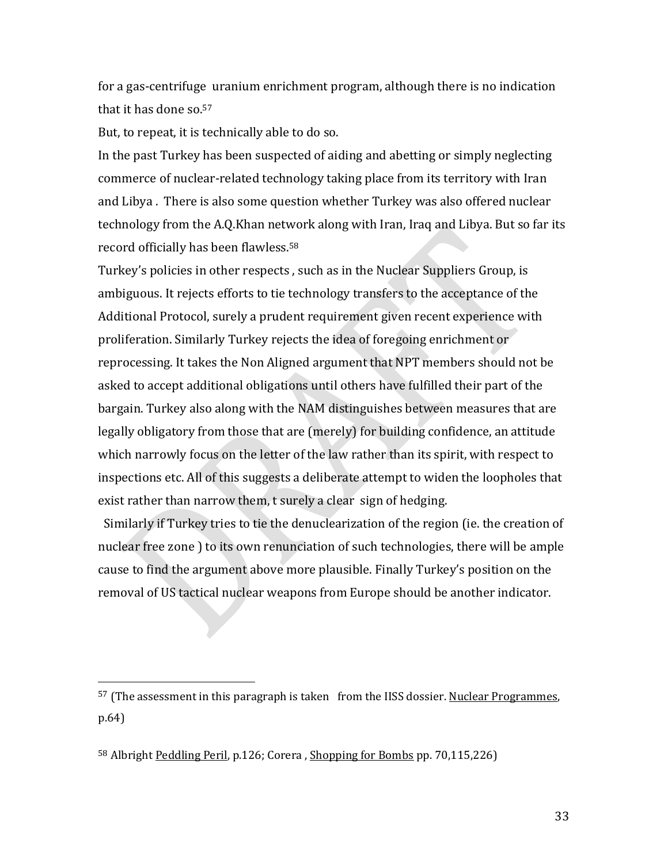for a gas‐centrifuge uranium enrichment program, although there is no indication that it has done so.57

But, to repeat, it is technically able to do so.

In the past Turkey has been suspected of aiding and abetting or simply neglecting commerce of nuclear‐related technology taking place from its territory with Iran and Libya . There is also some question whether Turkey was also offered nuclear technology from the A.Q.Khan network along with Iran, Iraq and Libya. But so far its record officially has been flawless.58

Turkey's policies in other respects , such as in the Nuclear Suppliers Group, is ambiguous. It rejects efforts to tie technology transfers to the acceptance of the Additional Protocol, surely a prudent requirement given recent experience with proliferation. Similarly Turkey rejects the idea of foregoing enrichment or reprocessing. It takes the Non Aligned argument that NPT members should not be asked to accept additional obligations until others have fulfilled their part of the bargain. Turkey also along with the NAM distinguishes between measures that are legally obligatory from those that are (merely) for building confidence, an attitude which narrowly focus on the letter of the law rather than its spirit, with respect to inspections etc. All of this suggests a deliberate attempt to widen the loopholes that exist rather than narrow them, t surely a clear sign of hedging.

 Similarly if Turkey tries to tie the denuclearization of the region (ie. the creation of nuclear free zone ) to its own renunciation of such technologies, there will be ample cause to find the argument above more plausible. Finally Turkey's position on the removal of US tactical nuclear weapons from Europe should be another indicator.

 $57$  (The assessment in this paragraph is taken from the IISS dossier. Nuclear Programmes, p.64)

<sup>&</sup>lt;sup>58</sup> Albright Peddling Peril, p.126; Corera, Shopping for Bombs pp. 70,115,226)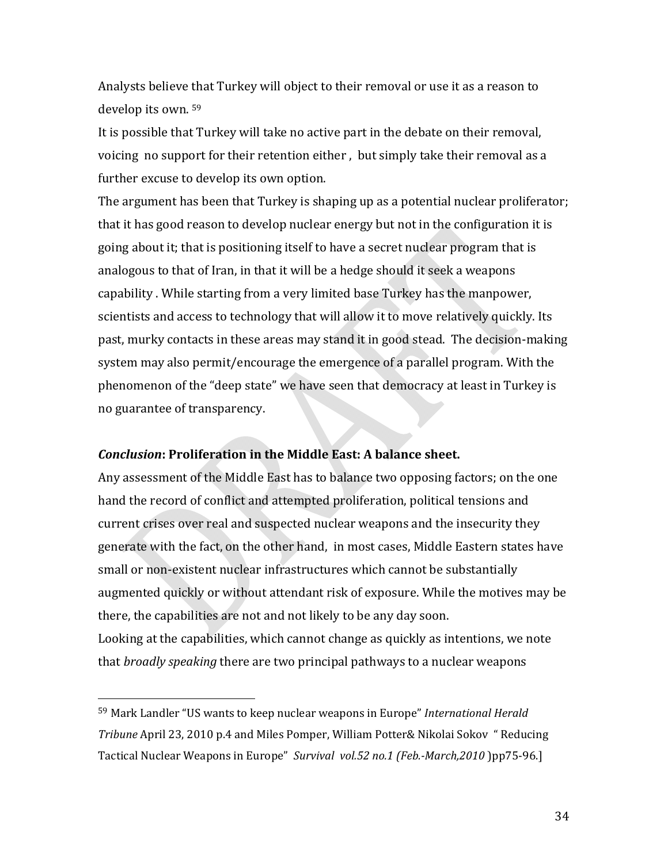Analysts believe that Turkey will object to their removal or use it as a reason to develop its own. 59

It is possible that Turkey will take no active part in the debate on their removal, voicing no support for their retention either , but simply take their removal as a further excuse to develop its own option.

The argument has been that Turkey is shaping up as a potential nuclear proliferator; that it has good reason to develop nuclear energy but not in the configuration it is going about it; that is positioning itself to have a secret nuclear program that is analogous to that of Iran, in that it will be a hedge should it seek a weapons capability . While starting from a very limited base Turkey has the manpower, scientists and access to technology that will allow it to move relatively quickly. Its past, murky contacts in these areas may stand it in good stead. The decision‐making system may also permit/encourage the emergence of a parallel program. With the phenomenon of the "deep state" we have seen that democracy at least in Turkey is no guarantee of transparency.

### *Conclusion***: Proliferation in the Middle East: A balance sheet.**

Any assessment of the Middle East has to balance two opposing factors; on the one hand the record of conflict and attempted proliferation, political tensions and current crises over real and suspected nuclear weapons and the insecurity they generate with the fact, on the other hand, in most cases, Middle Eastern states have small or non-existent nuclear infrastructures which cannot be substantially augmented quickly or without attendant risk of exposure. While the motives may be there, the capabilities are not and not likely to be any day soon.

Looking at the capabilities, which cannot change as quickly as intentions, we note that *broadly speaking* there are two principal pathways to a nuclear weapons

<sup>59</sup> Mark Landler "US wants to keep nuclear weapons in Europe" *International Herald Tribune* April 23, 2010 p.4 and Miles Pomper, William Potter& Nikolai Sokov " Reducing Tactical Nuclear Weapons in Europe" *Survival vol.52 no.1 (Feb.March,2010* )pp75‐96.]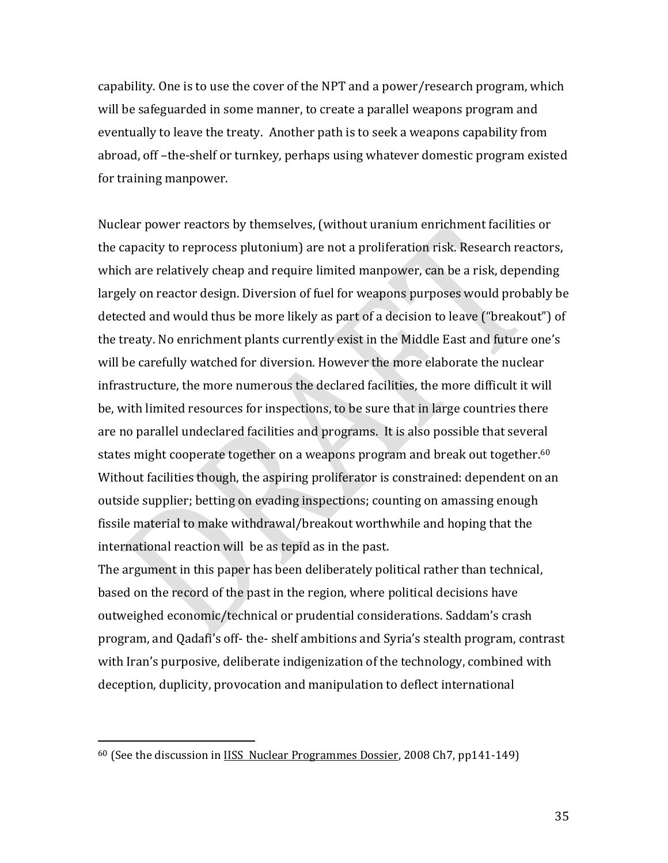capability. One is to use the cover of the NPT and a power/research program, which will be safeguarded in some manner, to create a parallel weapons program and eventually to leave the treaty. Another path is to seek a weapons capability from abroad, off –the‐shelf or turnkey, perhaps using whatever domestic program existed for training manpower.

Nuclear power reactors by themselves, (without uranium enrichment facilities or the capacity to reprocess plutonium) are not a proliferation risk. Research reactors, which are relatively cheap and require limited manpower, can be a risk, depending largely on reactor design. Diversion of fuel for weapons purposes would probably be detected and would thus be more likely as part of a decision to leave ("breakout") of the treaty. No enrichment plants currently exist in the Middle East and future one's will be carefully watched for diversion. However the more elaborate the nuclear infrastructure, the more numerous the declared facilities, the more difficult it will be, with limited resources for inspections, to be sure that in large countries there are no parallel undeclared facilities and programs. It is also possible that several states might cooperate together on a weapons program and break out together.<sup>60</sup> Without facilities though, the aspiring proliferator is constrained: dependent on an outside supplier; betting on evading inspections; counting on amassing enough fissile material to make withdrawal/breakout worthwhile and hoping that the international reaction will be as tepid as in the past.

The argument in this paper has been deliberately political rather than technical, based on the record of the past in the region, where political decisions have outweighed economic/technical or prudential considerations. Saddam's crash program, and Qadafi's off‐ the‐ shelf ambitions and Syria's stealth program, contrast with Iran's purposive, deliberate indigenization of the technology, combined with deception, duplicity, provocation and manipulation to deflect international

<sup>60</sup> (See the discussion in IISS Nuclear Programmes Dossier, 2008 Ch7, pp141‐149)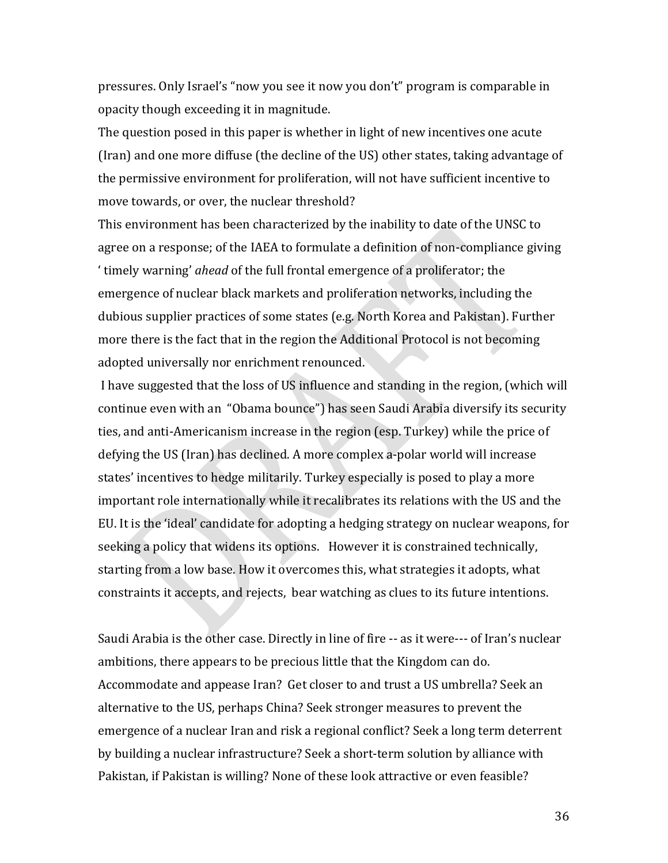pressures. Only Israel's "now you see it now you don't" program is comparable in opacity though exceeding it in magnitude.

The question posed in this paper is whether in light of new incentives one acute (Iran) and one more diffuse (the decline of the US) other states, taking advantage of the permissive environment for proliferation, will not have sufficient incentive to move towards, or over, the nuclear threshold?

This environment has been characterized by the inability to date of the UNSC to agree on a response; of the IAEA to formulate a definition of non‐compliance giving ' timely warning' *ahead* of the full frontal emergence of a proliferator; the emergence of nuclear black markets and proliferation networks, including the dubious supplier practices of some states (e.g. North Korea and Pakistan). Further more there is the fact that in the region the Additional Protocol is not becoming adopted universally nor enrichment renounced.

 I have suggested that the loss of US influence and standing in the region, (which will continue even with an "Obama bounce") has seen Saudi Arabia diversify its security ties, and anti‐Americanism increase in the region (esp. Turkey) while the price of defying the US (Iran) has declined. A more complex a‐polar world will increase states' incentives to hedge militarily. Turkey especially is posed to play a more important role internationally while it recalibrates its relations with the US and the EU. It is the 'ideal' candidate for adopting a hedging strategy on nuclear weapons, for seeking a policy that widens its options. However it is constrained technically, starting from a low base. How it overcomes this, what strategies it adopts, what constraints it accepts, and rejects, bear watching as clues to its future intentions.

Saudi Arabia is the other case. Directly in line of fire ‐‐ as it were‐‐‐ of Iran's nuclear ambitions, there appears to be precious little that the Kingdom can do. Accommodate and appease Iran? Get closer to and trust a US umbrella? Seek an alternative to the US, perhaps China? Seek stronger measures to prevent the emergence of a nuclear Iran and risk a regional conflict? Seek a long term deterrent by building a nuclear infrastructure? Seek a short‐term solution by alliance with Pakistan, if Pakistan is willing? None of these look attractive or even feasible?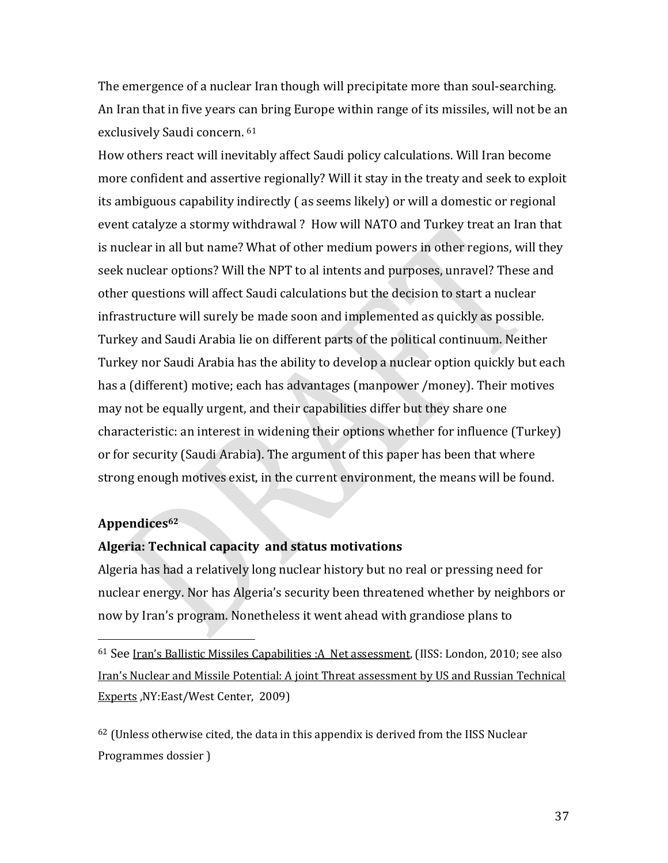The emergence of a nuclear Iran though will precipitate more than soul-searching. An Iran that in five years can bring Europe within range of its missiles, will not be an exclusively Saudi concern. 61

How others react will inevitably affect Saudi policy calculations. Will Iran become more confident and assertive regionally? Will it stay in the treaty and seek to exploit its ambiguous capability indirectly ( as seems likely) or will a domestic or regional event catalyze a stormy withdrawal ? How will NATO and Turkey treat an Iran that is nuclear in all but name? What of other medium powers in other regions, will they seek nuclear options? Will the NPT to al intents and purposes, unravel? These and other questions will affect Saudi calculations but the decision to start a nuclear infrastructure will surely be made soon and implemented as quickly as possible. Turkey and Saudi Arabia lie on different parts of the political continuum. Neither Turkey nor Saudi Arabia has the ability to develop a nuclear option quickly but each has a (different) motive; each has advantages (manpower /money). Their motives may not be equally urgent, and their capabilities differ but they share one characteristic: an interest in widening their options whether for influence (Turkey) or for security (Saudi Arabia). The argument of this paper has been that where strong enough motives exist, in the current environment, the means will be found.

### **Appendices62**

 $\overline{\phantom{a}}$ 

### **Algeria: Technical capacity and status motivations**

Algeria has had a relatively long nuclear history but no real or pressing need for nuclear energy. Nor has Algeria's security been threatened whether by neighbors or now by Iran's program. Nonetheless it went ahead with grandiose plans to

 $62$  (Unless otherwise cited, the data in this appendix is derived from the IISS Nuclear Programmes dossier )

<sup>61</sup> See Iran's Ballistic Missiles Capabilities :A Net assessment, (IISS: London, 2010; see also Iran's Nuclear and Missile Potential: A joint Threat assessment by US and Russian Technical Experts ,NY:East/West Center, 2009)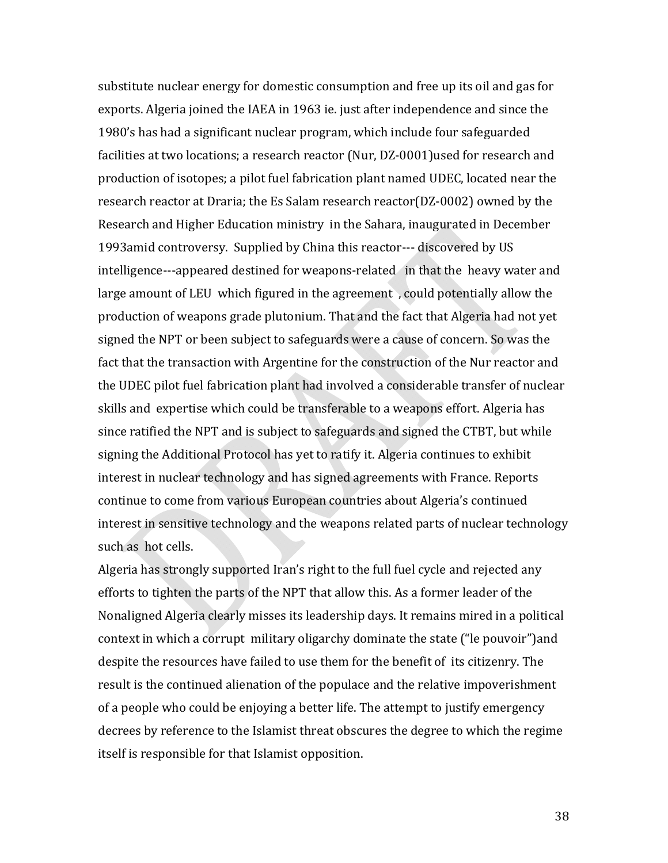substitute nuclear energy for domestic consumption and free up its oil and gas for exports. Algeria joined the IAEA in 1963 ie. just after independence and since the 1980's has had a significant nuclear program, which include four safeguarded facilities at two locations; a research reactor (Nur, DZ-0001)used for research and production of isotopes; a pilot fuel fabrication plant named UDEC, located near the research reactor at Draria; the Es Salam research reactor(DZ‐0002) owned by the Research and Higher Education ministry in the Sahara, inaugurated in December 1993amid controversy. Supplied by China this reactor‐‐‐ discovered by US intelligence‐‐‐appeared destined for weapons‐related in that the heavy water and large amount of LEU which figured in the agreement , could potentially allow the production of weapons grade plutonium. That and the fact that Algeria had not yet signed the NPT or been subject to safeguards were a cause of concern. So was the fact that the transaction with Argentine for the construction of the Nur reactor and the UDEC pilot fuel fabrication plant had involved a considerable transfer of nuclear skills and expertise which could be transferable to a weapons effort. Algeria has since ratified the NPT and is subject to safeguards and signed the CTBT, but while signing the Additional Protocol has yet to ratify it. Algeria continues to exhibit interest in nuclear technology and has signed agreements with France. Reports continue to come from various European countries about Algeria's continued interest in sensitive technology and the weapons related parts of nuclear technology such as hot cells.

Algeria has strongly supported Iran's right to the full fuel cycle and rejected any efforts to tighten the parts of the NPT that allow this. As a former leader of the Nonaligned Algeria clearly misses its leadership days. It remains mired in a political context in which a corrupt military oligarchy dominate the state ("le pouvoir")and despite the resources have failed to use them for the benefit of its citizenry. The result is the continued alienation of the populace and the relative impoverishment of a people who could be enjoying a better life. The attempt to justify emergency decrees by reference to the Islamist threat obscures the degree to which the regime itself is responsible for that Islamist opposition.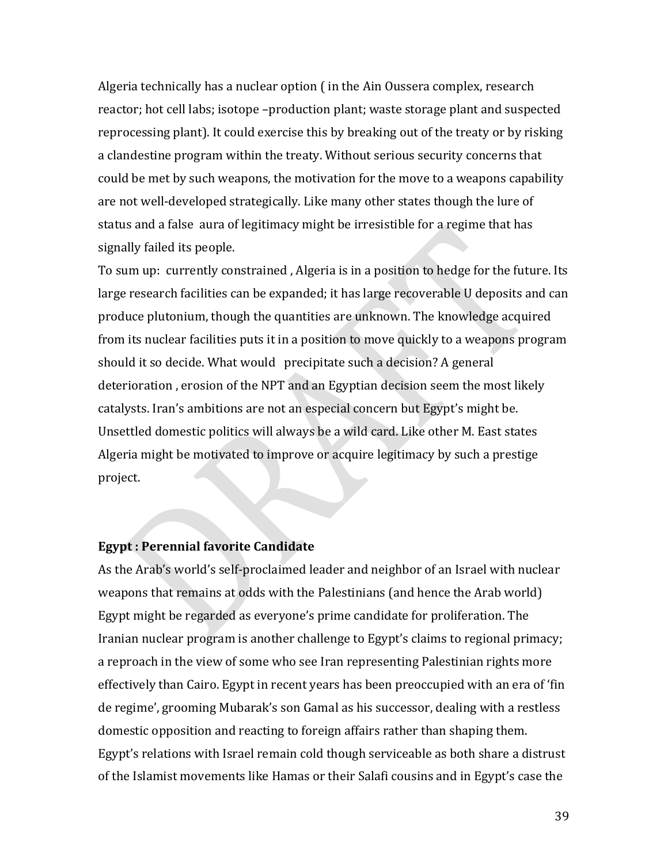Algeria technically has a nuclear option ( in the Ain Oussera complex, research reactor; hot cell labs; isotope –production plant; waste storage plant and suspected reprocessing plant). It could exercise this by breaking out of the treaty or by risking a clandestine program within the treaty. Without serious security concerns that could be met by such weapons, the motivation for the move to a weapons capability are not well‐developed strategically. Like many other states though the lure of status and a false aura of legitimacy might be irresistible for a regime that has signally failed its people.

To sum up: currently constrained , Algeria is in a position to hedge for the future. Its large research facilities can be expanded; it has large recoverable U deposits and can produce plutonium, though the quantities are unknown. The knowledge acquired from its nuclear facilities puts it in a position to move quickly to a weapons program should it so decide. What would precipitate such a decision? A general deterioration , erosion of the NPT and an Egyptian decision seem the most likely catalysts. Iran's ambitions are not an especial concern but Egypt's might be. Unsettled domestic politics will always be a wild card. Like other M. East states Algeria might be motivated to improve or acquire legitimacy by such a prestige project.

### **Egypt : Perennial favorite Candidate**

As the Arab's world's self‐proclaimed leader and neighbor of an Israel with nuclear weapons that remains at odds with the Palestinians (and hence the Arab world) Egypt might be regarded as everyone's prime candidate for proliferation. The Iranian nuclear program is another challenge to Egypt's claims to regional primacy; a reproach in the view of some who see Iran representing Palestinian rights more effectively than Cairo. Egypt in recent years has been preoccupied with an era of 'fin de regime', grooming Mubarak's son Gamal as his successor, dealing with a restless domestic opposition and reacting to foreign affairs rather than shaping them. Egypt's relations with Israel remain cold though serviceable as both share a distrust of the Islamist movements like Hamas or their Salafi cousins and in Egypt's case the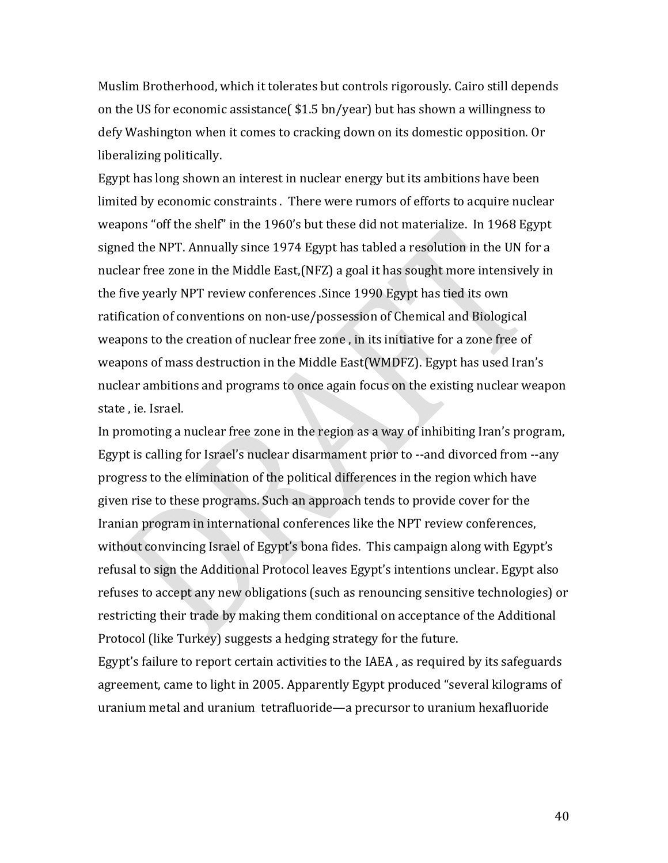Muslim Brotherhood, which it tolerates but controls rigorously. Cairo still depends on the US for economic assistance( \$1.5 bn/year) but has shown a willingness to defy Washington when it comes to cracking down on its domestic opposition. Or liberalizing politically.

Egypt has long shown an interest in nuclear energy but its ambitions have been limited by economic constraints . There were rumors of efforts to acquire nuclear weapons "off the shelf" in the 1960's but these did not materialize. In 1968 Egypt signed the NPT. Annually since 1974 Egypt has tabled a resolution in the UN for a nuclear free zone in the Middle East,(NFZ) a goal it has sought more intensively in the five yearly NPT review conferences .Since 1990 Egypt has tied its own ratification of conventions on non‐use/possession of Chemical and Biological weapons to the creation of nuclear free zone , in its initiative for a zone free of weapons of mass destruction in the Middle East(WMDFZ). Egypt has used Iran's nuclear ambitions and programs to once again focus on the existing nuclear weapon state , ie. Israel.

In promoting a nuclear free zone in the region as a way of inhibiting Iran's program, Egypt is calling for Israel's nuclear disarmament prior to ‐‐and divorced from ‐‐any progress to the elimination of the political differences in the region which have given rise to these programs. Such an approach tends to provide cover for the Iranian program in international conferences like the NPT review conferences, without convincing Israel of Egypt's bona fides. This campaign along with Egypt's refusal to sign the Additional Protocol leaves Egypt's intentions unclear. Egypt also refuses to accept any new obligations (such as renouncing sensitive technologies) or restricting their trade by making them conditional on acceptance of the Additional Protocol (like Turkey) suggests a hedging strategy for the future.

Egypt's failure to report certain activities to the IAEA , as required by its safeguards agreement, came to light in 2005. Apparently Egypt produced "several kilograms of uranium metal and uranium tetrafluoride—a precursor to uranium hexafluoride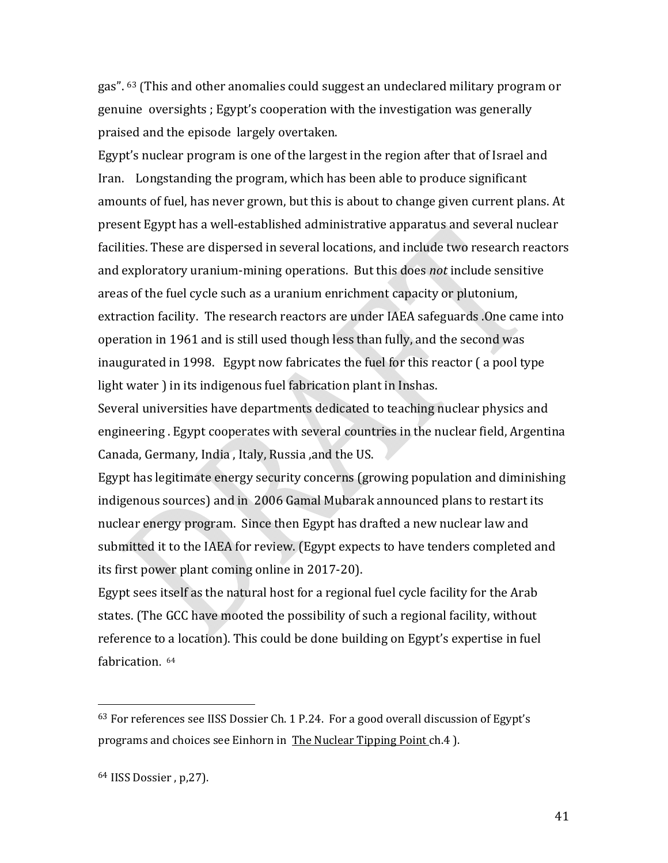gas". 63 (This and other anomalies could suggest an undeclared military program or genuine oversights ; Egypt's cooperation with the investigation was generally praised and the episode largely overtaken.

Egypt's nuclear program is one of the largest in the region after that of Israel and Iran. Longstanding the program, which has been able to produce significant amounts of fuel, has never grown, but this is about to change given current plans. At present Egypt has a well‐established administrative apparatus and several nuclear facilities. These are dispersed in several locations, and include two research reactors and exploratory uranium‐mining operations. But this does *not* include sensitive areas of the fuel cycle such as a uranium enrichment capacity or plutonium, extraction facility. The research reactors are under IAEA safeguards .One came into operation in 1961 and is still used though less than fully, and the second was inaugurated in 1998. Egypt now fabricates the fuel for this reactor ( a pool type light water ) in its indigenous fuel fabrication plant in Inshas.

Several universities have departments dedicated to teaching nuclear physics and engineering . Egypt cooperates with several countries in the nuclear field, Argentina Canada, Germany, India , Italy, Russia ,and the US.

Egypt has legitimate energy security concerns (growing population and diminishing indigenous sources) and in 2006 Gamal Mubarak announced plans to restart its nuclear energy program. Since then Egypt has drafted a new nuclear law and submitted it to the IAEA for review. (Egypt expects to have tenders completed and its first power plant coming online in 2017‐20).

Egypt sees itself as the natural host for a regional fuel cycle facility for the Arab states. (The GCC have mooted the possibility of such a regional facility, without reference to a location). This could be done building on Egypt's expertise in fuel fabrication. 64

 $63$  For references see IISS Dossier Ch. 1 P.24. For a good overall discussion of Egypt's programs and choices see Einhorn in The Nuclear Tipping Point ch.4).

<sup>64</sup> IISS Dossier , p,27).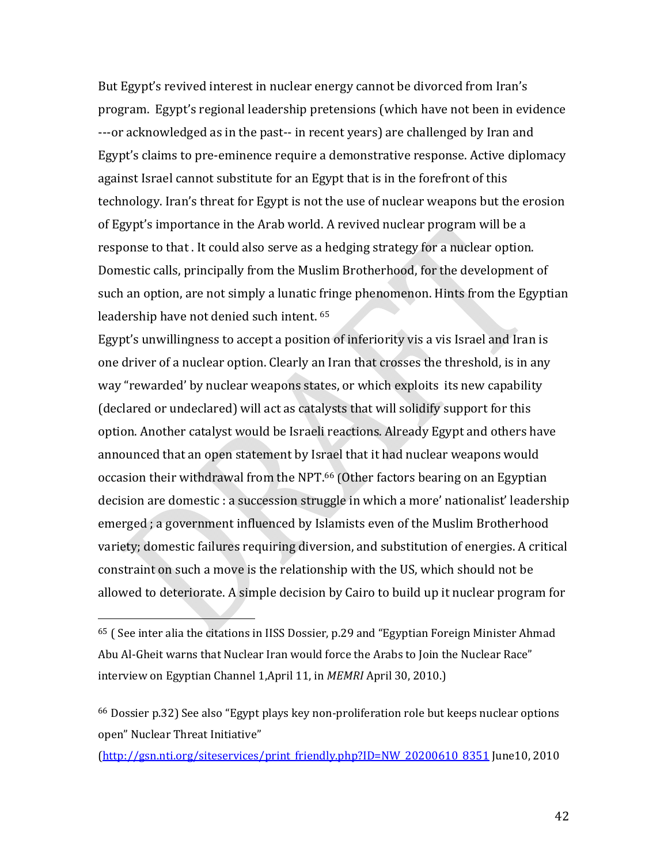But Egypt's revived interest in nuclear energy cannot be divorced from Iran's program. Egypt's regional leadership pretensions (which have not been in evidence ‐‐‐or acknowledged as in the past‐‐ in recent years) are challenged by Iran and Egypt's claims to pre‐eminence require a demonstrative response. Active diplomacy against Israel cannot substitute for an Egypt that is in the forefront of this technology. Iran's threat for Egypt is not the use of nuclear weapons but the erosion of Egypt's importance in the Arab world. A revived nuclear program will be a response to that . It could also serve as a hedging strategy for a nuclear option. Domestic calls, principally from the Muslim Brotherhood, for the development of such an option, are not simply a lunatic fringe phenomenon. Hints from the Egyptian leadership have not denied such intent. 65

Egypt's unwillingness to accept a position of inferiority vis a vis Israel and Iran is one driver of a nuclear option. Clearly an Iran that crosses the threshold, is in any way "rewarded' by nuclear weapons states, or which exploits its new capability (declared or undeclared) will act as catalysts that will solidify support for this option. Another catalyst would be Israeli reactions. Already Egypt and others have announced that an open statement by Israel that it had nuclear weapons would occasion their withdrawal from the NPT.66 (Other factors bearing on an Egyptian decision are domestic : a succession struggle in which a more' nationalist' leadership emerged ; a government influenced by Islamists even of the Muslim Brotherhood variety; domestic failures requiring diversion, and substitution of energies. A critical constraint on such a move is the relationship with the US, which should not be allowed to deteriorate. A simple decision by Cairo to build up it nuclear program for

 $\overline{\phantom{a}}$ 

(http://gsn.nti.org/siteservices/print\_friendly.php?ID=NW\_20200610\_8351 June10, 2010

<sup>65</sup> ( See inter alia the citations in IISS Dossier, p.29 and "Egyptian Foreign Minister Ahmad Abu Al‐Gheit warns that Nuclear Iran would force the Arabs to Join the Nuclear Race" interview on Egyptian Channel 1,April 11, in *MEMRI* April 30, 2010.)

<sup>66</sup> Dossier p.32) See also "Egypt plays key non‐proliferation role but keeps nuclear options open" Nuclear Threat Initiative"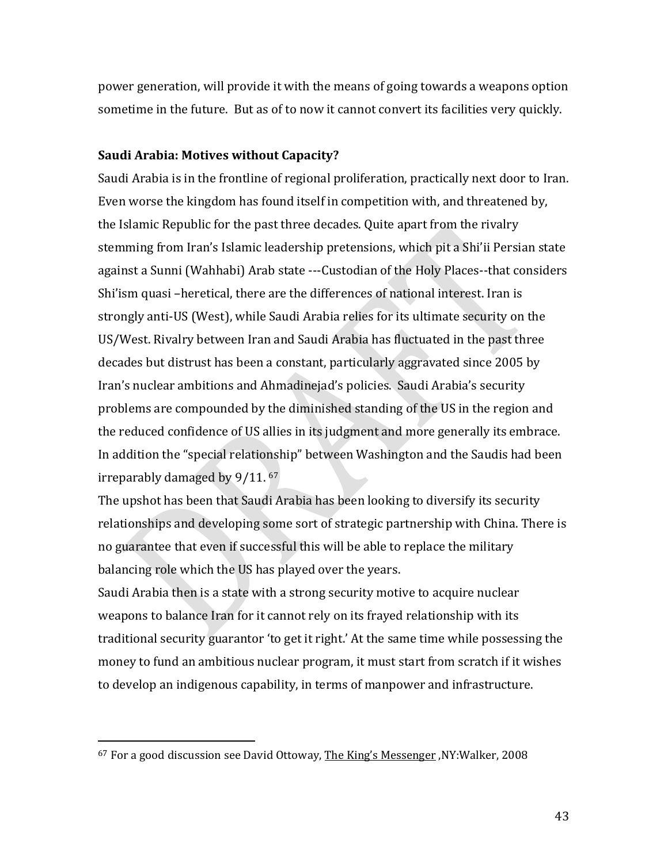power generation, will provide it with the means of going towards a weapons option sometime in the future. But as of to now it cannot convert its facilities very quickly.

### **Saudi Arabia: Motives without Capacity?**

Saudi Arabia is in the frontline of regional proliferation, practically next door to Iran. Even worse the kingdom has found itself in competition with, and threatened by, the Islamic Republic for the past three decades. Quite apart from the rivalry stemming from Iran's Islamic leadership pretensions, which pit a Shi'ii Persian state against a Sunni (Wahhabi) Arab state ‐‐‐Custodian of the Holy Places‐‐that considers Shi'ism quasi –heretical, there are the differences of national interest. Iran is strongly anti‐US (West), while Saudi Arabia relies for its ultimate security on the US/West. Rivalry between Iran and Saudi Arabia has fluctuated in the past three decades but distrust has been a constant, particularly aggravated since 2005 by Iran's nuclear ambitions and Ahmadinejad's policies. Saudi Arabia's security problems are compounded by the diminished standing of the US in the region and the reduced confidence of US allies in its judgment and more generally its embrace. In addition the "special relationship" between Washington and the Saudis had been irreparably damaged by 9/11. 67

The upshot has been that Saudi Arabia has been looking to diversify its security relationships and developing some sort of strategic partnership with China. There is no guarantee that even if successful this will be able to replace the military balancing role which the US has played over the years.

Saudi Arabia then is a state with a strong security motive to acquire nuclear weapons to balance Iran for it cannot rely on its frayed relationship with its traditional security guarantor 'to get it right.' At the same time while possessing the money to fund an ambitious nuclear program, it must start from scratch if it wishes to develop an indigenous capability, in terms of manpower and infrastructure.

<sup>67</sup> For a good discussion see David Ottoway, The King's Messenger ,NY:Walker, 2008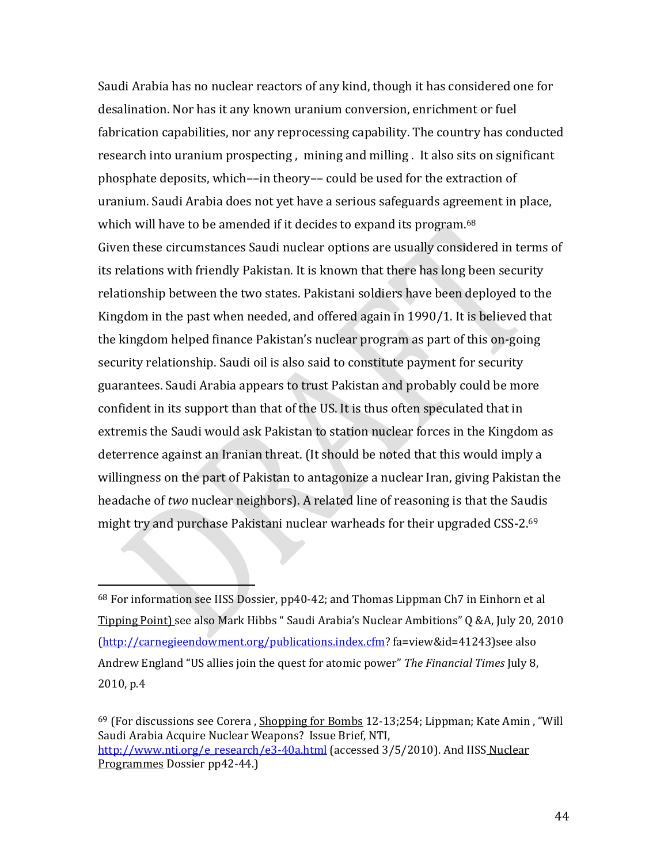Saudi Arabia has no nuclear reactors of any kind, though it has considered one for desalination. Nor has it any known uranium conversion, enrichment or fuel fabrication capabilities, nor any reprocessing capability. The country has conducted research into uranium prospecting , mining and milling . It also sits on significant phosphate deposits, which––in theory–– could be used for the extraction of uranium. Saudi Arabia does not yet have a serious safeguards agreement in place, which will have to be amended if it decides to expand its program.<sup>68</sup> Given these circumstances Saudi nuclear options are usually considered in terms of its relations with friendly Pakistan. It is known that there has long been security relationship between the two states. Pakistani soldiers have been deployed to the Kingdom in the past when needed, and offered again in 1990/1. It is believed that the kingdom helped finance Pakistan's nuclear program as part of this on‐going security relationship. Saudi oil is also said to constitute payment for security guarantees. Saudi Arabia appears to trust Pakistan and probably could be more confident in its support than that of the US. It is thus often speculated that in extremis the Saudi would ask Pakistan to station nuclear forces in the Kingdom as deterrence against an Iranian threat. (It should be noted that this would imply a willingness on the part of Pakistan to antagonize a nuclear Iran, giving Pakistan the headache of *two* nuclear neighbors). A related line of reasoning is that the Saudis might try and purchase Pakistani nuclear warheads for their upgraded CSS‐2.69

 $\overline{\phantom{a}}$  and  $\overline{\phantom{a}}$  and  $\overline{\phantom{a}}$ 

<sup>68</sup> For information see IISS Dossier, pp40‐42; and Thomas Lippman Ch7 in Einhorn et al Tipping Point) see also Mark Hibbs " Saudi Arabia's Nuclear Ambitions" Q &A, July 20, 2010 (http://carnegieendowment.org/publications.index.cfm? fa=view&id=41243)see also Andrew England "US allies join the quest for atomic power" *The Financial Times* July 8, 2010, p.4

<sup>&</sup>lt;sup>69</sup> (For discussions see Corera, Shopping for Bombs 12-13;254; Lippman; Kate Amin, "Will Saudi Arabia Acquire Nuclear Weapons? Issue Brief, NTI, http://www.nti.org/e\_research/e3-40a.html (accessed 3/5/2010). And IISS Nuclear Programmes Dossier pp42‐44.)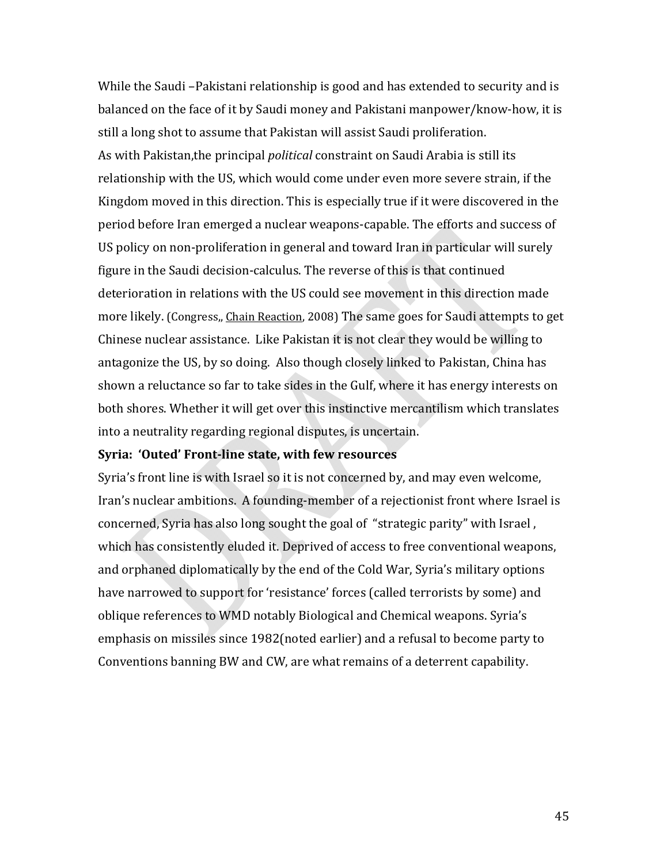While the Saudi –Pakistani relationship is good and has extended to security and is balanced on the face of it by Saudi money and Pakistani manpower/know‐how, it is still a long shot to assume that Pakistan will assist Saudi proliferation. As with Pakistan,the principal *political* constraint on Saudi Arabia is still its relationship with the US, which would come under even more severe strain, if the Kingdom moved in this direction. This is especially true if it were discovered in the period before Iran emerged a nuclear weapons‐capable. The efforts and success of US policy on non‐proliferation in general and toward Iran in particular will surely figure in the Saudi decision‐calculus. The reverse of this is that continued deterioration in relations with the US could see movement in this direction made more likely. (Congress,, Chain Reaction, 2008) The same goes for Saudi attempts to get Chinese nuclear assistance. Like Pakistan it is not clear they would be willing to antagonize the US, by so doing. Also though closely linked to Pakistan, China has shown a reluctance so far to take sides in the Gulf, where it has energy interests on both shores. Whether it will get over this instinctive mercantilism which translates into a neutrality regarding regional disputes, is uncertain.

### **Syria: 'Outed' Frontline state, with few resources**

Syria's front line is with Israel so it is not concerned by, and may even welcome, Iran's nuclear ambitions. A founding‐member of a rejectionist front where Israel is concerned, Syria has also long sought the goal of "strategic parity" with Israel , which has consistently eluded it. Deprived of access to free conventional weapons, and orphaned diplomatically by the end of the Cold War, Syria's military options have narrowed to support for 'resistance' forces (called terrorists by some) and oblique references to WMD notably Biological and Chemical weapons. Syria's emphasis on missiles since 1982(noted earlier) and a refusal to become party to Conventions banning BW and CW, are what remains of a deterrent capability.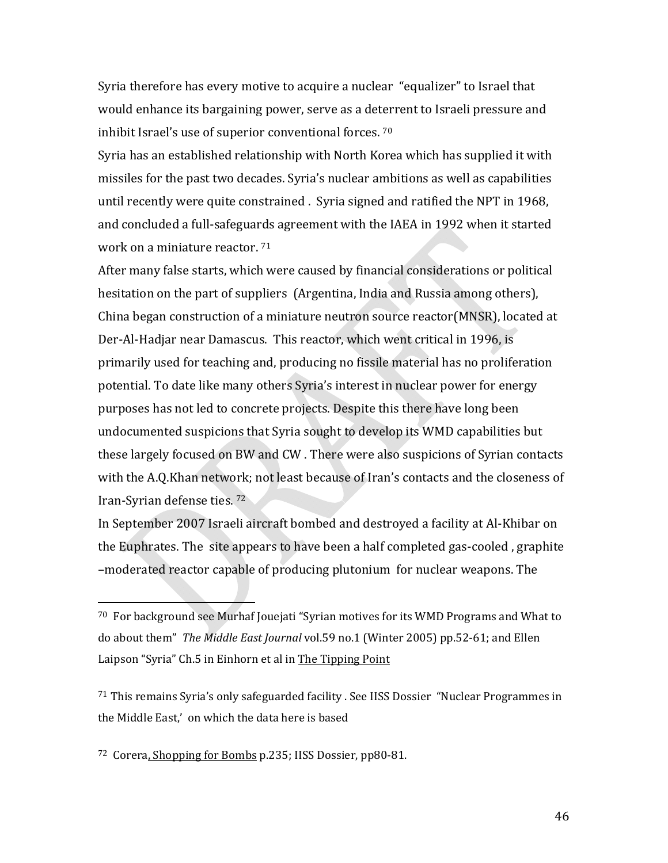Syria therefore has every motive to acquire a nuclear "equalizer" to Israel that would enhance its bargaining power, serve as a deterrent to Israeli pressure and inhibit Israel's use of superior conventional forces. 70

Syria has an established relationship with North Korea which has supplied it with missiles for the past two decades. Syria's nuclear ambitions as well as capabilities until recently were quite constrained . Syria signed and ratified the NPT in 1968, and concluded a full‐safeguards agreement with the IAEA in 1992 when it started work on a miniature reactor. 71

After many false starts, which were caused by financial considerations or political hesitation on the part of suppliers (Argentina, India and Russia among others), China began construction of a miniature neutron source reactor(MNSR), located at Der‐Al‐Hadjar near Damascus. This reactor, which went critical in 1996, is primarily used for teaching and, producing no fissile material has no proliferation potential. To date like many others Syria's interest in nuclear power for energy purposes has not led to concrete projects. Despite this there have long been undocumented suspicions that Syria sought to develop its WMD capabilities but these largely focused on BW and CW . There were also suspicions of Syrian contacts with the A.Q.Khan network; not least because of Iran's contacts and the closeness of Iran‐Syrian defense ties. 72

In September 2007 Israeli aircraft bombed and destroyed a facility at Al‐Khibar on the Euphrates. The site appears to have been a half completed gas‐cooled , graphite –moderated reactor capable of producing plutonium for nuclear weapons. The

<sup>71</sup> This remains Syria's only safeguarded facility . See IISS Dossier "Nuclear Programmes in the Middle East,' on which the data here is based

<sup>72</sup> Corera, Shopping for Bombs p.235; IISS Dossier, pp80‐81.

 $\overline{\phantom{a}}$  and  $\overline{\phantom{a}}$  and  $\overline{\phantom{a}}$ 

 $70$  For background see Murhaf Jouejati "Syrian motives for its WMD Programs and What to do about them" *The Middle East Journal* vol.59 no.1 (Winter 2005) pp.52‐61; and Ellen Laipson "Syria" Ch.5 in Einhorn et al in The Tipping Point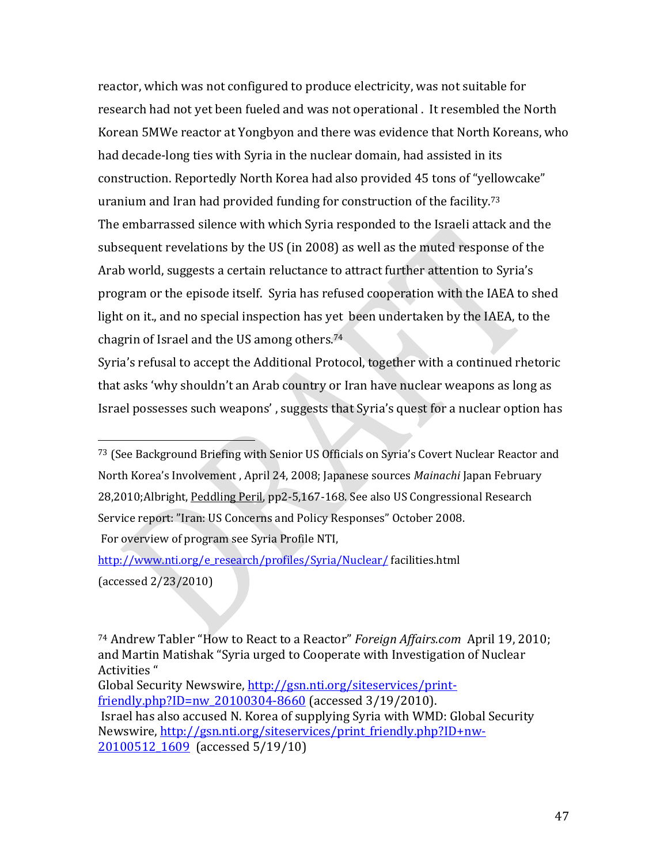reactor, which was not configured to produce electricity, was not suitable for research had not yet been fueled and was not operational . It resembled the North Korean 5MWe reactor at Yongbyon and there was evidence that North Koreans, who had decade‐long ties with Syria in the nuclear domain, had assisted in its construction. Reportedly North Korea had also provided 45 tons of "yellowcake" uranium and Iran had provided funding for construction of the facility.73 The embarrassed silence with which Syria responded to the Israeli attack and the subsequent revelations by the US (in 2008) as well as the muted response of the Arab world, suggests a certain reluctance to attract further attention to Syria's program or the episode itself. Syria has refused cooperation with the IAEA to shed light on it., and no special inspection has yet been undertaken by the IAEA, to the chagrin of Israel and the US among others.74

Syria's refusal to accept the Additional Protocol, together with a continued rhetoric that asks 'why shouldn't an Arab country or Iran have nuclear weapons as long as Israel possesses such weapons' , suggests that Syria's quest for a nuclear option has

74 Andrew Tabler "How to React to a Reactor" *Foreign Affairs.com* April 19, 2010; and Martin Matishak "Syria urged to Cooperate with Investigation of Nuclear Activities " Global Security Newswire, http://gsn.nti.org/siteservices/printfriendly.php?ID=nw\_20100304-8660 (accessed 3/19/2010). Israel has also accused N. Korea of supplying Syria with WMD: Global Security Newswire, http://gsn.nti.org/siteservices/print\_friendly.php?ID+nw-20100512 1609 (accessed 5/19/10)

<sup>73</sup> (See Background Briefing with Senior US Officials on Syria's Covert Nuclear Reactor and North Korea's Involvement , April 24, 2008; Japanese sources *Mainachi* Japan February 28,2010;Albright, Peddling Peril, pp2‐5,167‐168. See also US Congressional Research Service report: "Iran: US Concerns and Policy Responses" October 2008. For overview of program see Syria Profile NTI,

http://www.nti.org/e\_research/profiles/Syria/Nuclear/ facilities.html (accessed 2/23/2010)